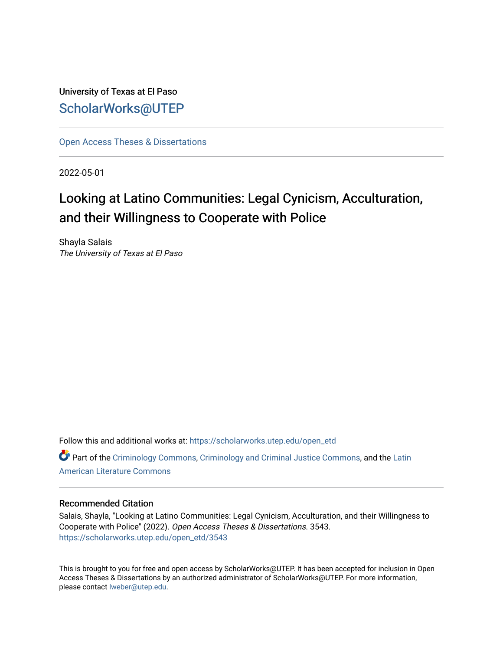University of Texas at El Paso [ScholarWorks@UTEP](https://scholarworks.utep.edu/)

[Open Access Theses & Dissertations](https://scholarworks.utep.edu/open_etd) 

2022-05-01

# Looking at Latino Communities: Legal Cynicism, Acculturation, and their Willingness to Cooperate with Police

Shayla Salais The University of Texas at El Paso

Follow this and additional works at: [https://scholarworks.utep.edu/open\\_etd](https://scholarworks.utep.edu/open_etd?utm_source=scholarworks.utep.edu%2Fopen_etd%2F3543&utm_medium=PDF&utm_campaign=PDFCoverPages) **P** Part of the [Criminology Commons](https://network.bepress.com/hgg/discipline/417?utm_source=scholarworks.utep.edu%2Fopen_etd%2F3543&utm_medium=PDF&utm_campaign=PDFCoverPages), [Criminology and Criminal Justice Commons,](https://network.bepress.com/hgg/discipline/367?utm_source=scholarworks.utep.edu%2Fopen_etd%2F3543&utm_medium=PDF&utm_campaign=PDFCoverPages) and the Latin [American Literature Commons](https://network.bepress.com/hgg/discipline/547?utm_source=scholarworks.utep.edu%2Fopen_etd%2F3543&utm_medium=PDF&utm_campaign=PDFCoverPages) 

#### Recommended Citation

Salais, Shayla, "Looking at Latino Communities: Legal Cynicism, Acculturation, and their Willingness to Cooperate with Police" (2022). Open Access Theses & Dissertations. 3543. [https://scholarworks.utep.edu/open\\_etd/3543](https://scholarworks.utep.edu/open_etd/3543?utm_source=scholarworks.utep.edu%2Fopen_etd%2F3543&utm_medium=PDF&utm_campaign=PDFCoverPages) 

This is brought to you for free and open access by ScholarWorks@UTEP. It has been accepted for inclusion in Open Access Theses & Dissertations by an authorized administrator of ScholarWorks@UTEP. For more information, please contact [lweber@utep.edu.](mailto:lweber@utep.edu)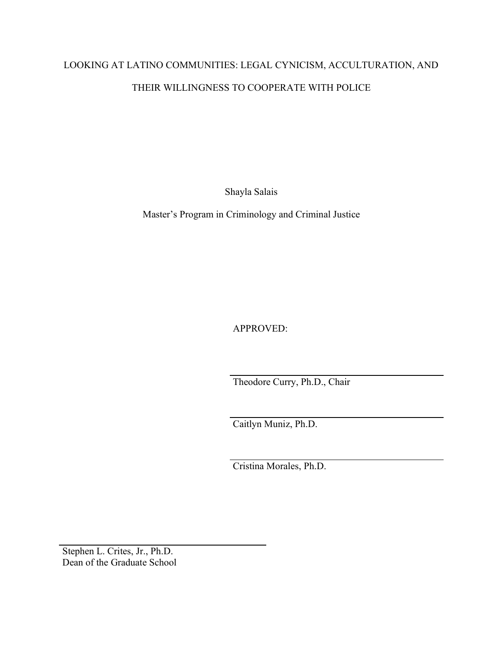# LOOKING AT LATINO COMMUNITIES: LEGAL CYNICISM, ACCULTURATION, AND THEIR WILLINGNESS TO COOPERATE WITH POLICE

Shayla Salais

Master's Program in Criminology and Criminal Justice

APPROVED:

Theodore Curry, Ph.D., Chair

Caitlyn Muniz, Ph.D.

Cristina Morales, Ph.D.

Stephen L. Crites, Jr., Ph.D. Dean of the Graduate School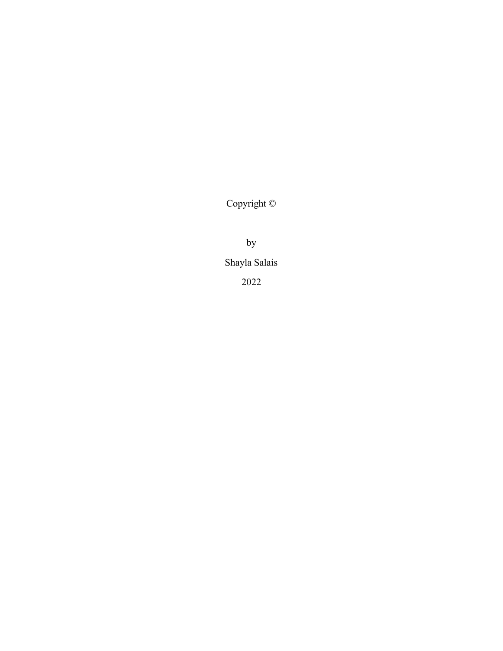Copyright ©

by

Shayla Salais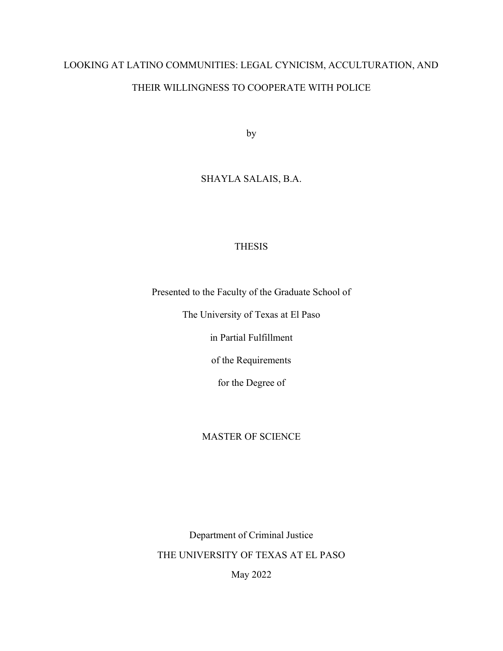# LOOKING AT LATINO COMMUNITIES: LEGAL CYNICISM, ACCULTURATION, AND THEIR WILLINGNESS TO COOPERATE WITH POLICE

by

## SHAYLA SALAIS, B.A.

### THESIS

Presented to the Faculty of the Graduate School of

The University of Texas at El Paso

in Partial Fulfillment

of the Requirements

for the Degree of

### MASTER OF SCIENCE

Department of Criminal Justice THE UNIVERSITY OF TEXAS AT EL PASO

May 2022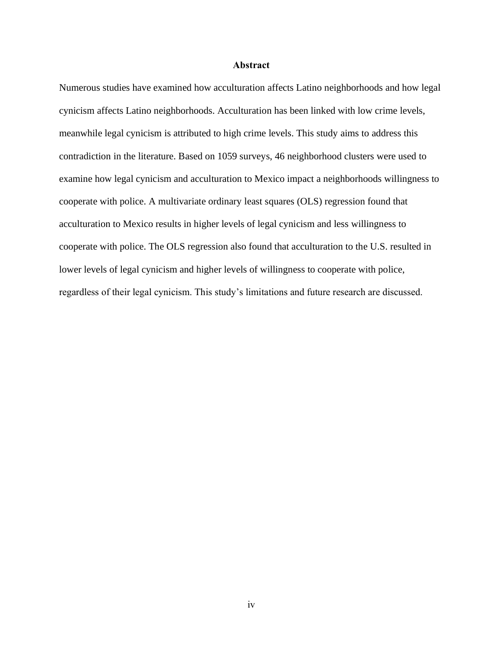#### **Abstract**

<span id="page-4-0"></span>Numerous studies have examined how acculturation affects Latino neighborhoods and how legal cynicism affects Latino neighborhoods. Acculturation has been linked with low crime levels, meanwhile legal cynicism is attributed to high crime levels. This study aims to address this contradiction in the literature. Based on 1059 surveys, 46 neighborhood clusters were used to examine how legal cynicism and acculturation to Mexico impact a neighborhoods willingness to cooperate with police. A multivariate ordinary least squares (OLS) regression found that acculturation to Mexico results in higher levels of legal cynicism and less willingness to cooperate with police. The OLS regression also found that acculturation to the U.S. resulted in lower levels of legal cynicism and higher levels of willingness to cooperate with police, regardless of their legal cynicism. This study's limitations and future research are discussed.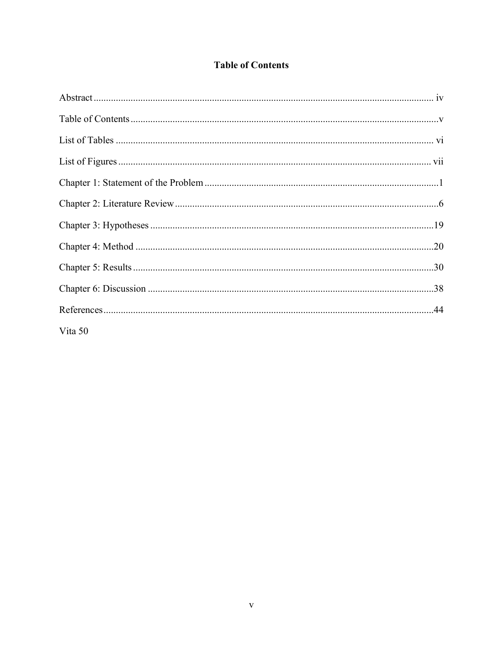## **Table of Contents**

<span id="page-5-0"></span>

| Vita 50 |  |
|---------|--|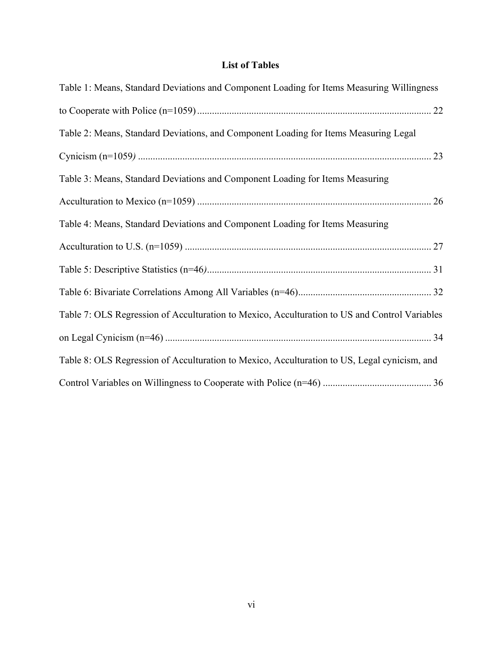# **List of Tables**

<span id="page-6-0"></span>

| Table 1: Means, Standard Deviations and Component Loading for Items Measuring Willingness     |
|-----------------------------------------------------------------------------------------------|
|                                                                                               |
| Table 2: Means, Standard Deviations, and Component Loading for Items Measuring Legal          |
|                                                                                               |
| Table 3: Means, Standard Deviations and Component Loading for Items Measuring                 |
|                                                                                               |
| Table 4: Means, Standard Deviations and Component Loading for Items Measuring                 |
|                                                                                               |
|                                                                                               |
|                                                                                               |
| Table 7: OLS Regression of Acculturation to Mexico, Acculturation to US and Control Variables |
|                                                                                               |
| Table 8: OLS Regression of Acculturation to Mexico, Acculturation to US, Legal cynicism, and  |
|                                                                                               |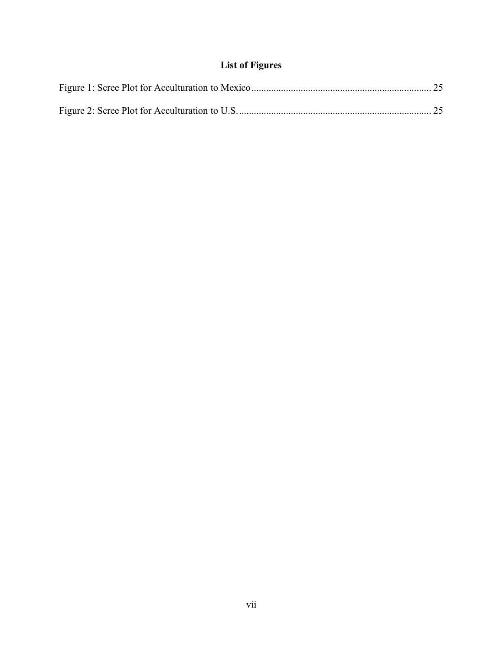# **List of Figures**

<span id="page-7-0"></span>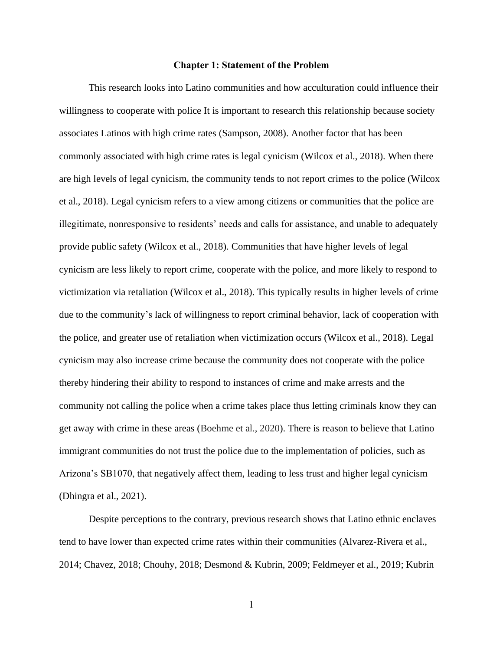#### **Chapter 1: Statement of the Problem**

<span id="page-8-0"></span>This research looks into Latino communities and how acculturation could influence their willingness to cooperate with police It is important to research this relationship because society associates Latinos with high crime rates (Sampson, 2008). Another factor that has been commonly associated with high crime rates is legal cynicism (Wilcox et al., 2018). When there are high levels of legal cynicism, the community tends to not report crimes to the police (Wilcox et al., 2018). Legal cynicism refers to a view among citizens or communities that the police are illegitimate, nonresponsive to residents' needs and calls for assistance, and unable to adequately provide public safety (Wilcox et al., 2018). Communities that have higher levels of legal cynicism are less likely to report crime, cooperate with the police, and more likely to respond to victimization via retaliation (Wilcox et al., 2018). This typically results in higher levels of crime due to the community's lack of willingness to report criminal behavior, lack of cooperation with the police, and greater use of retaliation when victimization occurs (Wilcox et al., 2018). Legal cynicism may also increase crime because the community does not cooperate with the police thereby hindering their ability to respond to instances of crime and make arrests and the community not calling the police when a crime takes place thus letting criminals know they can get away with crime in these areas (Boehme et al., 2020). There is reason to believe that Latino immigrant communities do not trust the police due to the implementation of policies, such as Arizona's SB1070, that negatively affect them, leading to less trust and higher legal cynicism (Dhingra et al., 2021).

Despite perceptions to the contrary, previous research shows that Latino ethnic enclaves tend to have lower than expected crime rates within their communities (Alvarez-Rivera et al., 2014; Chavez, 2018; Chouhy, 2018; Desmond & Kubrin, 2009; Feldmeyer et al., 2019; Kubrin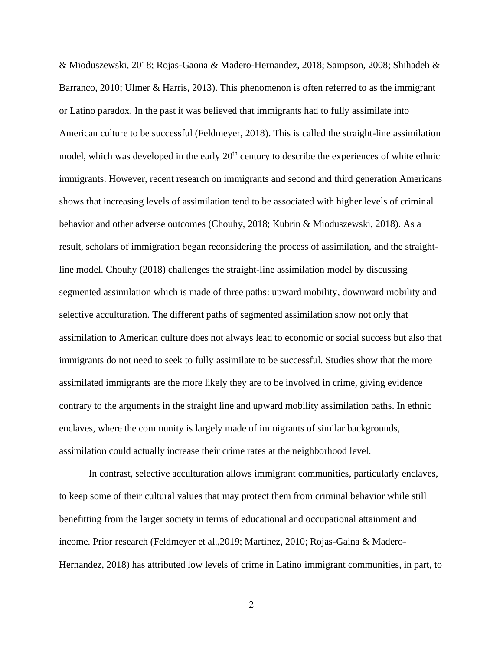& Mioduszewski, 2018; Rojas-Gaona & Madero-Hernandez, 2018; Sampson, 2008; Shihadeh & Barranco, 2010; Ulmer & Harris, 2013). This phenomenon is often referred to as the immigrant or Latino paradox. In the past it was believed that immigrants had to fully assimilate into American culture to be successful (Feldmeyer, 2018). This is called the straight-line assimilation model, which was developed in the early 20<sup>th</sup> century to describe the experiences of white ethnic immigrants. However, recent research on immigrants and second and third generation Americans shows that increasing levels of assimilation tend to be associated with higher levels of criminal behavior and other adverse outcomes (Chouhy, 2018; Kubrin & Mioduszewski, 2018). As a result, scholars of immigration began reconsidering the process of assimilation, and the straightline model. Chouhy (2018) challenges the straight-line assimilation model by discussing segmented assimilation which is made of three paths: upward mobility, downward mobility and selective acculturation. The different paths of segmented assimilation show not only that assimilation to American culture does not always lead to economic or social success but also that immigrants do not need to seek to fully assimilate to be successful. Studies show that the more assimilated immigrants are the more likely they are to be involved in crime, giving evidence contrary to the arguments in the straight line and upward mobility assimilation paths. In ethnic enclaves, where the community is largely made of immigrants of similar backgrounds, assimilation could actually increase their crime rates at the neighborhood level.

In contrast, selective acculturation allows immigrant communities, particularly enclaves, to keep some of their cultural values that may protect them from criminal behavior while still benefitting from the larger society in terms of educational and occupational attainment and income. Prior research (Feldmeyer et al.,2019; Martinez, 2010; Rojas-Gaina & Madero-Hernandez, 2018) has attributed low levels of crime in Latino immigrant communities, in part, to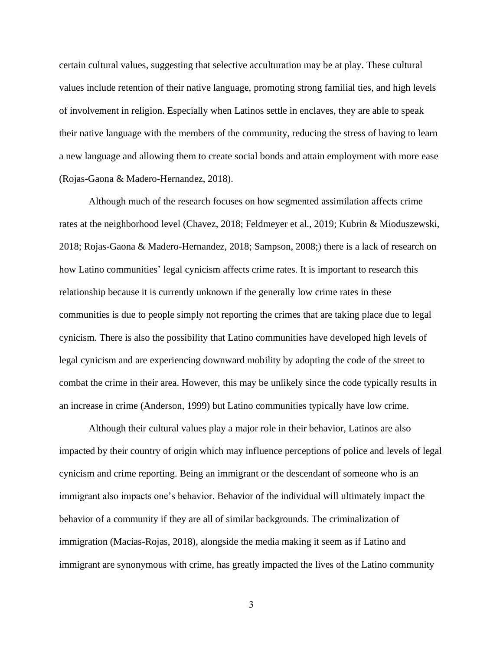certain cultural values, suggesting that selective acculturation may be at play. These cultural values include retention of their native language, promoting strong familial ties, and high levels of involvement in religion. Especially when Latinos settle in enclaves, they are able to speak their native language with the members of the community, reducing the stress of having to learn a new language and allowing them to create social bonds and attain employment with more ease (Rojas-Gaona & Madero-Hernandez, 2018).

Although much of the research focuses on how segmented assimilation affects crime rates at the neighborhood level (Chavez, 2018; Feldmeyer et al., 2019; Kubrin & Mioduszewski, 2018; Rojas-Gaona & Madero-Hernandez, 2018; Sampson, 2008;) there is a lack of research on how Latino communities' legal cynicism affects crime rates. It is important to research this relationship because it is currently unknown if the generally low crime rates in these communities is due to people simply not reporting the crimes that are taking place due to legal cynicism. There is also the possibility that Latino communities have developed high levels of legal cynicism and are experiencing downward mobility by adopting the code of the street to combat the crime in their area. However, this may be unlikely since the code typically results in an increase in crime (Anderson, 1999) but Latino communities typically have low crime.

Although their cultural values play a major role in their behavior, Latinos are also impacted by their country of origin which may influence perceptions of police and levels of legal cynicism and crime reporting. Being an immigrant or the descendant of someone who is an immigrant also impacts one's behavior. Behavior of the individual will ultimately impact the behavior of a community if they are all of similar backgrounds. The criminalization of immigration (Macias-Rojas, 2018), alongside the media making it seem as if Latino and immigrant are synonymous with crime, has greatly impacted the lives of the Latino community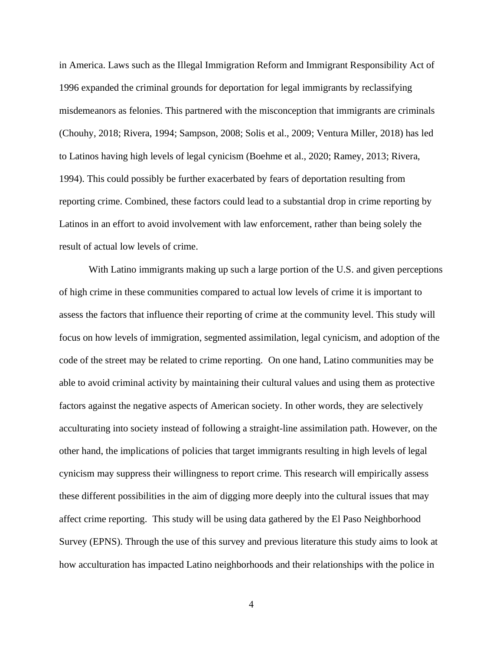in America. Laws such as the Illegal Immigration Reform and Immigrant Responsibility Act of 1996 expanded the criminal grounds for deportation for legal immigrants by reclassifying misdemeanors as felonies. This partnered with the misconception that immigrants are criminals (Chouhy, 2018; Rivera, 1994; Sampson, 2008; Solis et al., 2009; Ventura Miller, 2018) has led to Latinos having high levels of legal cynicism (Boehme et al., 2020; Ramey, 2013; Rivera, 1994). This could possibly be further exacerbated by fears of deportation resulting from reporting crime. Combined, these factors could lead to a substantial drop in crime reporting by Latinos in an effort to avoid involvement with law enforcement, rather than being solely the result of actual low levels of crime.

With Latino immigrants making up such a large portion of the U.S. and given perceptions of high crime in these communities compared to actual low levels of crime it is important to assess the factors that influence their reporting of crime at the community level. This study will focus on how levels of immigration, segmented assimilation, legal cynicism, and adoption of the code of the street may be related to crime reporting. On one hand, Latino communities may be able to avoid criminal activity by maintaining their cultural values and using them as protective factors against the negative aspects of American society. In other words, they are selectively acculturating into society instead of following a straight-line assimilation path. However, on the other hand, the implications of policies that target immigrants resulting in high levels of legal cynicism may suppress their willingness to report crime. This research will empirically assess these different possibilities in the aim of digging more deeply into the cultural issues that may affect crime reporting. This study will be using data gathered by the El Paso Neighborhood Survey (EPNS). Through the use of this survey and previous literature this study aims to look at how acculturation has impacted Latino neighborhoods and their relationships with the police in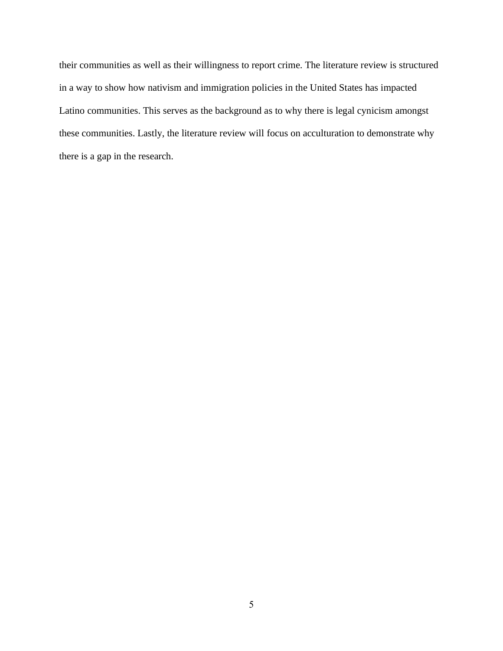their communities as well as their willingness to report crime. The literature review is structured in a way to show how nativism and immigration policies in the United States has impacted Latino communities. This serves as the background as to why there is legal cynicism amongst these communities. Lastly, the literature review will focus on acculturation to demonstrate why there is a gap in the research.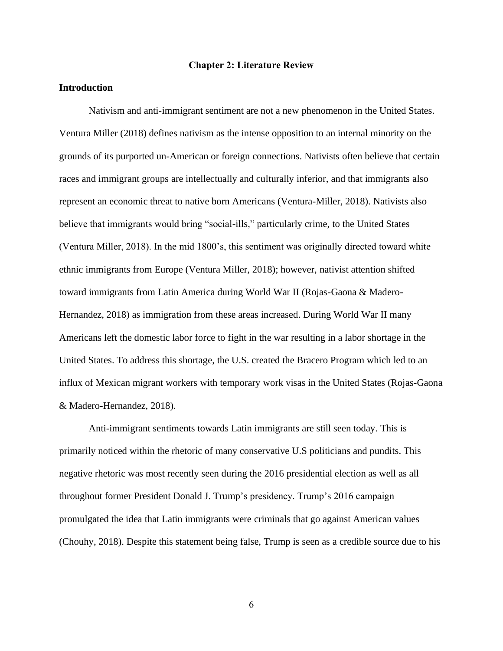#### **Chapter 2: Literature Review**

### <span id="page-13-0"></span>**Introduction**

Nativism and anti-immigrant sentiment are not a new phenomenon in the United States. Ventura Miller (2018) defines nativism as the intense opposition to an internal minority on the grounds of its purported un-American or foreign connections. Nativists often believe that certain races and immigrant groups are intellectually and culturally inferior, and that immigrants also represent an economic threat to native born Americans (Ventura-Miller, 2018). Nativists also believe that immigrants would bring "social-ills," particularly crime, to the United States (Ventura Miller, 2018). In the mid 1800's, this sentiment was originally directed toward white ethnic immigrants from Europe (Ventura Miller, 2018); however, nativist attention shifted toward immigrants from Latin America during World War II (Rojas-Gaona & Madero-Hernandez, 2018) as immigration from these areas increased. During World War II many Americans left the domestic labor force to fight in the war resulting in a labor shortage in the United States. To address this shortage, the U.S. created the Bracero Program which led to an influx of Mexican migrant workers with temporary work visas in the United States (Rojas-Gaona & Madero-Hernandez, 2018).

Anti-immigrant sentiments towards Latin immigrants are still seen today. This is primarily noticed within the rhetoric of many conservative U.S politicians and pundits. This negative rhetoric was most recently seen during the 2016 presidential election as well as all throughout former President Donald J. Trump's presidency. Trump's 2016 campaign promulgated the idea that Latin immigrants were criminals that go against American values (Chouhy, 2018). Despite this statement being false, Trump is seen as a credible source due to his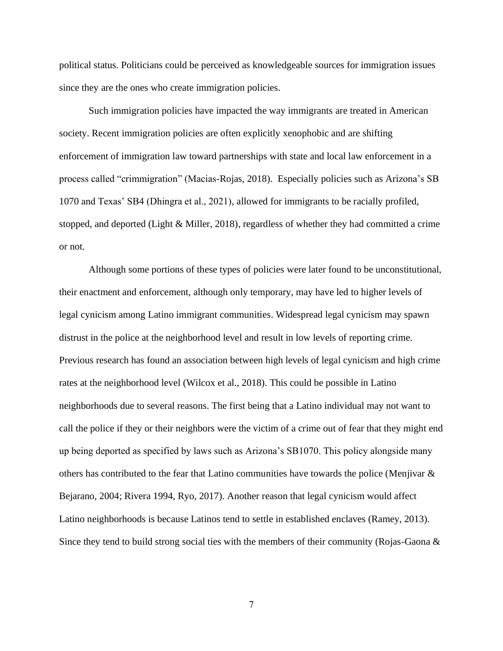political status. Politicians could be perceived as knowledgeable sources for immigration issues since they are the ones who create immigration policies.

Such immigration policies have impacted the way immigrants are treated in American society. Recent immigration policies are often explicitly xenophobic and are shifting enforcement of immigration law toward partnerships with state and local law enforcement in a process called "crimmigration" (Macias-Rojas, 2018). Especially policies such as Arizona's SB 1070 and Texas' SB4 (Dhingra et al., 2021), allowed for immigrants to be racially profiled, stopped, and deported (Light & Miller, 2018), regardless of whether they had committed a crime or not.

Although some portions of these types of policies were later found to be unconstitutional, their enactment and enforcement, although only temporary, may have led to higher levels of legal cynicism among Latino immigrant communities. Widespread legal cynicism may spawn distrust in the police at the neighborhood level and result in low levels of reporting crime. Previous research has found an association between high levels of legal cynicism and high crime rates at the neighborhood level (Wilcox et al., 2018). This could be possible in Latino neighborhoods due to several reasons. The first being that a Latino individual may not want to call the police if they or their neighbors were the victim of a crime out of fear that they might end up being deported as specified by laws such as Arizona's SB1070. This policy alongside many others has contributed to the fear that Latino communities have towards the police (Menjivar & Bejarano, 2004; Rivera 1994, Ryo, 2017). Another reason that legal cynicism would affect Latino neighborhoods is because Latinos tend to settle in established enclaves (Ramey, 2013). Since they tend to build strong social ties with the members of their community (Rojas-Gaona &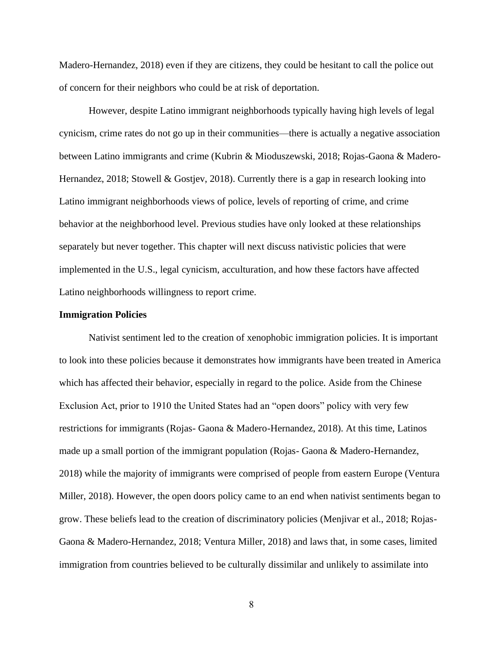Madero-Hernandez, 2018) even if they are citizens, they could be hesitant to call the police out of concern for their neighbors who could be at risk of deportation.

However, despite Latino immigrant neighborhoods typically having high levels of legal cynicism, crime rates do not go up in their communities—there is actually a negative association between Latino immigrants and crime (Kubrin & Mioduszewski, 2018; Rojas-Gaona & Madero-Hernandez, 2018; Stowell & Gostjev, 2018). Currently there is a gap in research looking into Latino immigrant neighborhoods views of police, levels of reporting of crime, and crime behavior at the neighborhood level. Previous studies have only looked at these relationships separately but never together. This chapter will next discuss nativistic policies that were implemented in the U.S., legal cynicism, acculturation, and how these factors have affected Latino neighborhoods willingness to report crime.

#### **Immigration Policies**

Nativist sentiment led to the creation of xenophobic immigration policies. It is important to look into these policies because it demonstrates how immigrants have been treated in America which has affected their behavior, especially in regard to the police. Aside from the Chinese Exclusion Act, prior to 1910 the United States had an "open doors" policy with very few restrictions for immigrants (Rojas- Gaona & Madero-Hernandez, 2018). At this time, Latinos made up a small portion of the immigrant population (Rojas- Gaona & Madero-Hernandez, 2018) while the majority of immigrants were comprised of people from eastern Europe (Ventura Miller, 2018). However, the open doors policy came to an end when nativist sentiments began to grow. These beliefs lead to the creation of discriminatory policies (Menjivar et al., 2018; Rojas-Gaona & Madero-Hernandez, 2018; Ventura Miller, 2018) and laws that, in some cases, limited immigration from countries believed to be culturally dissimilar and unlikely to assimilate into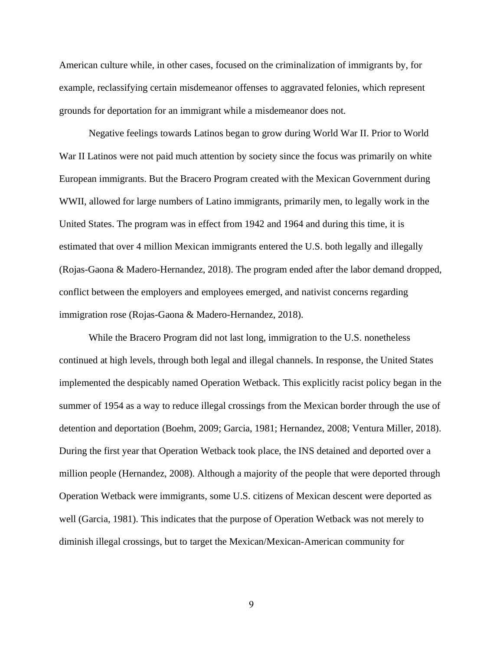American culture while, in other cases, focused on the criminalization of immigrants by, for example, reclassifying certain misdemeanor offenses to aggravated felonies, which represent grounds for deportation for an immigrant while a misdemeanor does not.

Negative feelings towards Latinos began to grow during World War II. Prior to World War II Latinos were not paid much attention by society since the focus was primarily on white European immigrants. But the Bracero Program created with the Mexican Government during WWII, allowed for large numbers of Latino immigrants, primarily men, to legally work in the United States. The program was in effect from 1942 and 1964 and during this time, it is estimated that over 4 million Mexican immigrants entered the U.S. both legally and illegally (Rojas-Gaona & Madero-Hernandez, 2018). The program ended after the labor demand dropped, conflict between the employers and employees emerged, and nativist concerns regarding immigration rose (Rojas-Gaona & Madero-Hernandez, 2018).

While the Bracero Program did not last long, immigration to the U.S. nonetheless continued at high levels, through both legal and illegal channels. In response, the United States implemented the despicably named Operation Wetback. This explicitly racist policy began in the summer of 1954 as a way to reduce illegal crossings from the Mexican border through the use of detention and deportation (Boehm, 2009; Garcia, 1981; Hernandez, 2008; Ventura Miller, 2018). During the first year that Operation Wetback took place, the INS detained and deported over a million people (Hernandez, 2008). Although a majority of the people that were deported through Operation Wetback were immigrants, some U.S. citizens of Mexican descent were deported as well (Garcia, 1981). This indicates that the purpose of Operation Wetback was not merely to diminish illegal crossings, but to target the Mexican/Mexican-American community for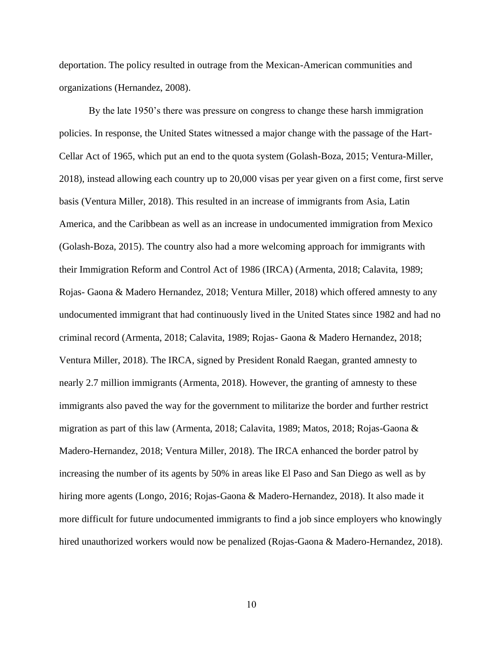deportation. The policy resulted in outrage from the Mexican-American communities and organizations (Hernandez, 2008).

By the late 1950's there was pressure on congress to change these harsh immigration policies. In response, the United States witnessed a major change with the passage of the Hart-Cellar Act of 1965, which put an end to the quota system (Golash-Boza, 2015; Ventura-Miller, 2018), instead allowing each country up to 20,000 visas per year given on a first come, first serve basis (Ventura Miller, 2018). This resulted in an increase of immigrants from Asia, Latin America, and the Caribbean as well as an increase in undocumented immigration from Mexico (Golash-Boza, 2015). The country also had a more welcoming approach for immigrants with their Immigration Reform and Control Act of 1986 (IRCA) (Armenta, 2018; Calavita, 1989; Rojas- Gaona & Madero Hernandez, 2018; Ventura Miller, 2018) which offered amnesty to any undocumented immigrant that had continuously lived in the United States since 1982 and had no criminal record (Armenta, 2018; Calavita, 1989; Rojas- Gaona & Madero Hernandez, 2018; Ventura Miller, 2018). The IRCA, signed by President Ronald Raegan, granted amnesty to nearly 2.7 million immigrants (Armenta, 2018). However, the granting of amnesty to these immigrants also paved the way for the government to militarize the border and further restrict migration as part of this law (Armenta, 2018; Calavita, 1989; Matos, 2018; Rojas-Gaona & Madero-Hernandez, 2018; Ventura Miller, 2018). The IRCA enhanced the border patrol by increasing the number of its agents by 50% in areas like El Paso and San Diego as well as by hiring more agents (Longo, 2016; Rojas-Gaona & Madero-Hernandez, 2018). It also made it more difficult for future undocumented immigrants to find a job since employers who knowingly hired unauthorized workers would now be penalized (Rojas-Gaona & Madero-Hernandez, 2018).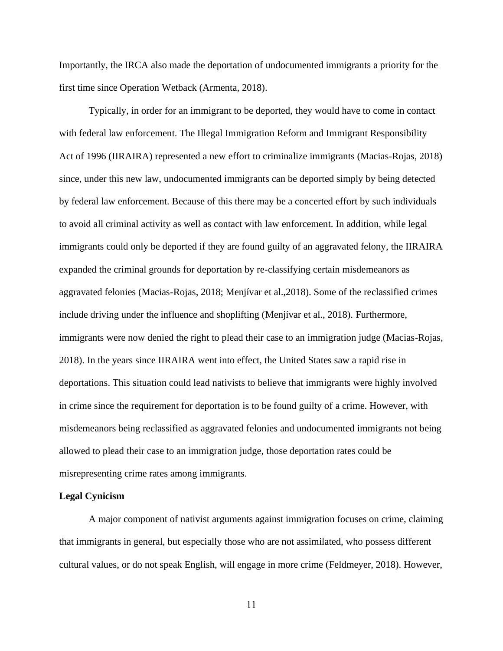Importantly, the IRCA also made the deportation of undocumented immigrants a priority for the first time since Operation Wetback (Armenta, 2018).

Typically, in order for an immigrant to be deported, they would have to come in contact with federal law enforcement. The Illegal Immigration Reform and Immigrant Responsibility Act of 1996 (IIRAIRA) represented a new effort to criminalize immigrants (Macias-Rojas, 2018) since, under this new law, undocumented immigrants can be deported simply by being detected by federal law enforcement. Because of this there may be a concerted effort by such individuals to avoid all criminal activity as well as contact with law enforcement. In addition, while legal immigrants could only be deported if they are found guilty of an aggravated felony, the IIRAIRA expanded the criminal grounds for deportation by re-classifying certain misdemeanors as aggravated felonies (Macias-Rojas, 2018; Menjívar et al.,2018). Some of the reclassified crimes include driving under the influence and shoplifting (Menjívar et al., 2018). Furthermore, immigrants were now denied the right to plead their case to an immigration judge (Macias-Rojas, 2018). In the years since IIRAIRA went into effect, the United States saw a rapid rise in deportations. This situation could lead nativists to believe that immigrants were highly involved in crime since the requirement for deportation is to be found guilty of a crime. However, with misdemeanors being reclassified as aggravated felonies and undocumented immigrants not being allowed to plead their case to an immigration judge, those deportation rates could be misrepresenting crime rates among immigrants.

#### **Legal Cynicism**

A major component of nativist arguments against immigration focuses on crime, claiming that immigrants in general, but especially those who are not assimilated, who possess different cultural values, or do not speak English, will engage in more crime (Feldmeyer, 2018). However,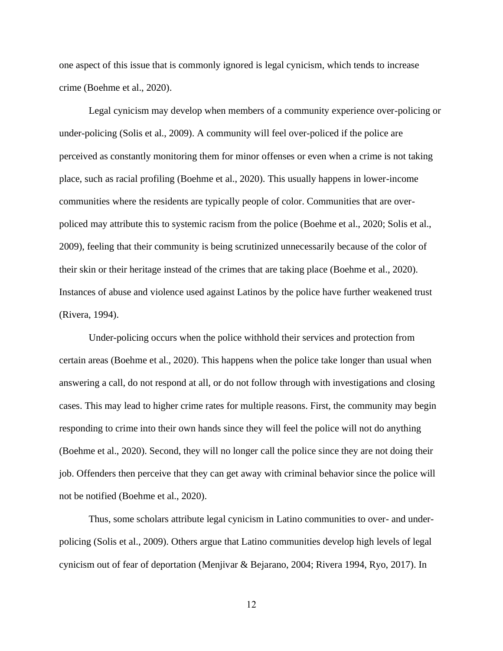one aspect of this issue that is commonly ignored is legal cynicism, which tends to increase crime (Boehme et al., 2020).

Legal cynicism may develop when members of a community experience over-policing or under-policing (Solis et al., 2009). A community will feel over-policed if the police are perceived as constantly monitoring them for minor offenses or even when a crime is not taking place, such as racial profiling (Boehme et al., 2020). This usually happens in lower-income communities where the residents are typically people of color. Communities that are overpoliced may attribute this to systemic racism from the police (Boehme et al., 2020; Solis et al., 2009), feeling that their community is being scrutinized unnecessarily because of the color of their skin or their heritage instead of the crimes that are taking place (Boehme et al., 2020). Instances of abuse and violence used against Latinos by the police have further weakened trust (Rivera, 1994).

Under-policing occurs when the police withhold their services and protection from certain areas (Boehme et al., 2020). This happens when the police take longer than usual when answering a call, do not respond at all, or do not follow through with investigations and closing cases. This may lead to higher crime rates for multiple reasons. First, the community may begin responding to crime into their own hands since they will feel the police will not do anything (Boehme et al., 2020). Second, they will no longer call the police since they are not doing their job. Offenders then perceive that they can get away with criminal behavior since the police will not be notified (Boehme et al., 2020).

Thus, some scholars attribute legal cynicism in Latino communities to over- and underpolicing (Solis et al., 2009). Others argue that Latino communities develop high levels of legal cynicism out of fear of deportation (Menjivar & Bejarano, 2004; Rivera 1994, Ryo, 2017). In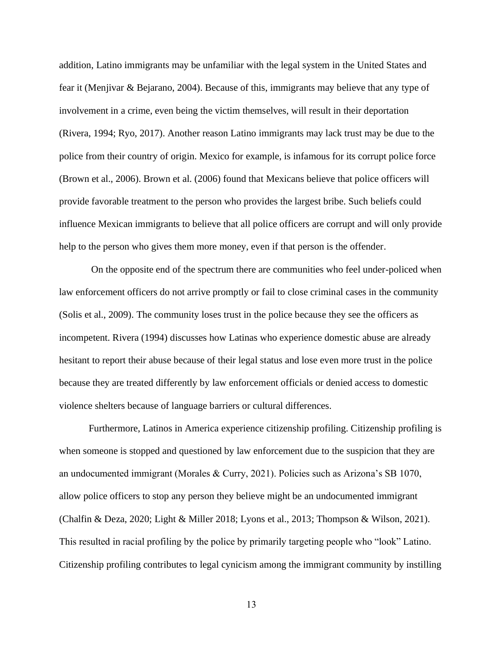addition, Latino immigrants may be unfamiliar with the legal system in the United States and fear it (Menjivar & Bejarano, 2004). Because of this, immigrants may believe that any type of involvement in a crime, even being the victim themselves, will result in their deportation (Rivera, 1994; Ryo, 2017). Another reason Latino immigrants may lack trust may be due to the police from their country of origin. Mexico for example, is infamous for its corrupt police force (Brown et al., 2006). Brown et al. (2006) found that Mexicans believe that police officers will provide favorable treatment to the person who provides the largest bribe. Such beliefs could influence Mexican immigrants to believe that all police officers are corrupt and will only provide help to the person who gives them more money, even if that person is the offender.

On the opposite end of the spectrum there are communities who feel under-policed when law enforcement officers do not arrive promptly or fail to close criminal cases in the community (Solis et al., 2009). The community loses trust in the police because they see the officers as incompetent. Rivera (1994) discusses how Latinas who experience domestic abuse are already hesitant to report their abuse because of their legal status and lose even more trust in the police because they are treated differently by law enforcement officials or denied access to domestic violence shelters because of language barriers or cultural differences.

Furthermore, Latinos in America experience citizenship profiling. Citizenship profiling is when someone is stopped and questioned by law enforcement due to the suspicion that they are an undocumented immigrant (Morales & Curry, 2021). Policies such as Arizona's SB 1070, allow police officers to stop any person they believe might be an undocumented immigrant (Chalfin & Deza, 2020; Light & Miller 2018; Lyons et al., 2013; Thompson & Wilson, 2021). This resulted in racial profiling by the police by primarily targeting people who "look" Latino. Citizenship profiling contributes to legal cynicism among the immigrant community by instilling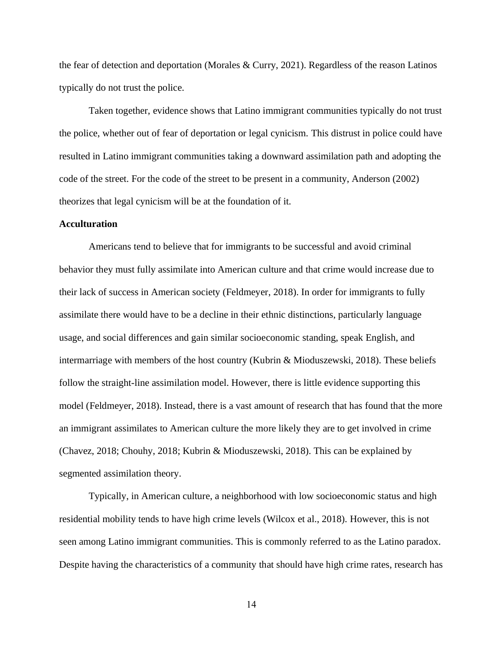the fear of detection and deportation (Morales & Curry, 2021). Regardless of the reason Latinos typically do not trust the police.

Taken together, evidence shows that Latino immigrant communities typically do not trust the police, whether out of fear of deportation or legal cynicism. This distrust in police could have resulted in Latino immigrant communities taking a downward assimilation path and adopting the code of the street. For the code of the street to be present in a community, Anderson (2002) theorizes that legal cynicism will be at the foundation of it.

#### **Acculturation**

Americans tend to believe that for immigrants to be successful and avoid criminal behavior they must fully assimilate into American culture and that crime would increase due to their lack of success in American society (Feldmeyer, 2018). In order for immigrants to fully assimilate there would have to be a decline in their ethnic distinctions, particularly language usage, and social differences and gain similar socioeconomic standing, speak English, and intermarriage with members of the host country (Kubrin & Mioduszewski, 2018). These beliefs follow the straight-line assimilation model. However, there is little evidence supporting this model (Feldmeyer, 2018). Instead, there is a vast amount of research that has found that the more an immigrant assimilates to American culture the more likely they are to get involved in crime (Chavez, 2018; Chouhy, 2018; Kubrin & Mioduszewski, 2018). This can be explained by segmented assimilation theory.

Typically, in American culture, a neighborhood with low socioeconomic status and high residential mobility tends to have high crime levels (Wilcox et al., 2018). However, this is not seen among Latino immigrant communities. This is commonly referred to as the Latino paradox. Despite having the characteristics of a community that should have high crime rates, research has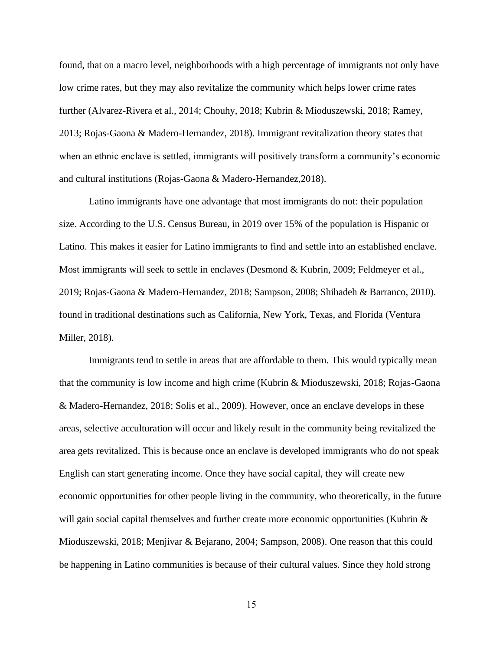found, that on a macro level, neighborhoods with a high percentage of immigrants not only have low crime rates, but they may also revitalize the community which helps lower crime rates further (Alvarez-Rivera et al., 2014; Chouhy, 2018; Kubrin & Mioduszewski, 2018; Ramey, 2013; Rojas-Gaona & Madero-Hernandez, 2018). Immigrant revitalization theory states that when an ethnic enclave is settled, immigrants will positively transform a community's economic and cultural institutions (Rojas-Gaona & Madero-Hernandez,2018).

Latino immigrants have one advantage that most immigrants do not: their population size. According to the U.S. Census Bureau, in 2019 over 15% of the population is Hispanic or Latino. This makes it easier for Latino immigrants to find and settle into an established enclave. Most immigrants will seek to settle in enclaves (Desmond & Kubrin, 2009; Feldmeyer et al., 2019; Rojas-Gaona & Madero-Hernandez, 2018; Sampson, 2008; Shihadeh & Barranco, 2010). found in traditional destinations such as California, New York, Texas, and Florida (Ventura Miller, 2018).

Immigrants tend to settle in areas that are affordable to them. This would typically mean that the community is low income and high crime (Kubrin & Mioduszewski, 2018; Rojas-Gaona & Madero-Hernandez, 2018; Solis et al., 2009). However, once an enclave develops in these areas, selective acculturation will occur and likely result in the community being revitalized the area gets revitalized. This is because once an enclave is developed immigrants who do not speak English can start generating income. Once they have social capital, they will create new economic opportunities for other people living in the community, who theoretically, in the future will gain social capital themselves and further create more economic opportunities (Kubrin & Mioduszewski, 2018; Menjivar & Bejarano, 2004; Sampson, 2008). One reason that this could be happening in Latino communities is because of their cultural values. Since they hold strong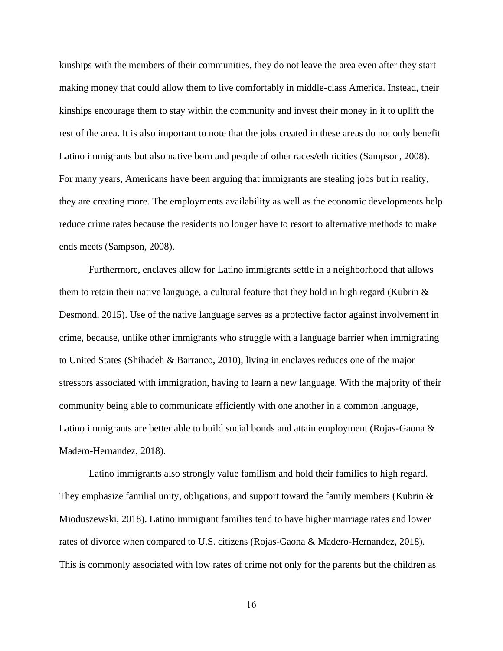kinships with the members of their communities, they do not leave the area even after they start making money that could allow them to live comfortably in middle-class America. Instead, their kinships encourage them to stay within the community and invest their money in it to uplift the rest of the area. It is also important to note that the jobs created in these areas do not only benefit Latino immigrants but also native born and people of other races/ethnicities (Sampson, 2008). For many years, Americans have been arguing that immigrants are stealing jobs but in reality, they are creating more. The employments availability as well as the economic developments help reduce crime rates because the residents no longer have to resort to alternative methods to make ends meets (Sampson, 2008).

Furthermore, enclaves allow for Latino immigrants settle in a neighborhood that allows them to retain their native language, a cultural feature that they hold in high regard (Kubrin  $\&$ Desmond, 2015). Use of the native language serves as a protective factor against involvement in crime, because, unlike other immigrants who struggle with a language barrier when immigrating to United States (Shihadeh & Barranco, 2010), living in enclaves reduces one of the major stressors associated with immigration, having to learn a new language. With the majority of their community being able to communicate efficiently with one another in a common language, Latino immigrants are better able to build social bonds and attain employment (Rojas-Gaona & Madero-Hernandez, 2018).

Latino immigrants also strongly value familism and hold their families to high regard. They emphasize familial unity, obligations, and support toward the family members (Kubrin & Mioduszewski, 2018). Latino immigrant families tend to have higher marriage rates and lower rates of divorce when compared to U.S. citizens (Rojas-Gaona & Madero-Hernandez, 2018). This is commonly associated with low rates of crime not only for the parents but the children as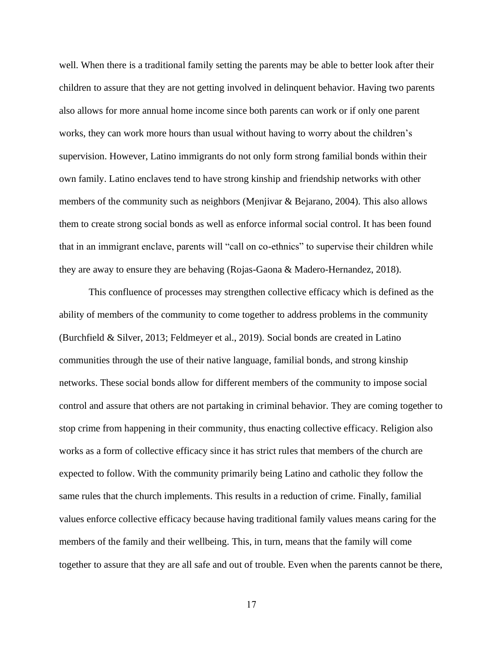well. When there is a traditional family setting the parents may be able to better look after their children to assure that they are not getting involved in delinquent behavior. Having two parents also allows for more annual home income since both parents can work or if only one parent works, they can work more hours than usual without having to worry about the children's supervision. However, Latino immigrants do not only form strong familial bonds within their own family. Latino enclaves tend to have strong kinship and friendship networks with other members of the community such as neighbors (Menjivar & Bejarano, 2004). This also allows them to create strong social bonds as well as enforce informal social control. It has been found that in an immigrant enclave, parents will "call on co-ethnics" to supervise their children while they are away to ensure they are behaving (Rojas-Gaona & Madero-Hernandez, 2018).

This confluence of processes may strengthen collective efficacy which is defined as the ability of members of the community to come together to address problems in the community (Burchfield & Silver, 2013; Feldmeyer et al., 2019). Social bonds are created in Latino communities through the use of their native language, familial bonds, and strong kinship networks. These social bonds allow for different members of the community to impose social control and assure that others are not partaking in criminal behavior. They are coming together to stop crime from happening in their community, thus enacting collective efficacy. Religion also works as a form of collective efficacy since it has strict rules that members of the church are expected to follow. With the community primarily being Latino and catholic they follow the same rules that the church implements. This results in a reduction of crime. Finally, familial values enforce collective efficacy because having traditional family values means caring for the members of the family and their wellbeing. This, in turn, means that the family will come together to assure that they are all safe and out of trouble. Even when the parents cannot be there,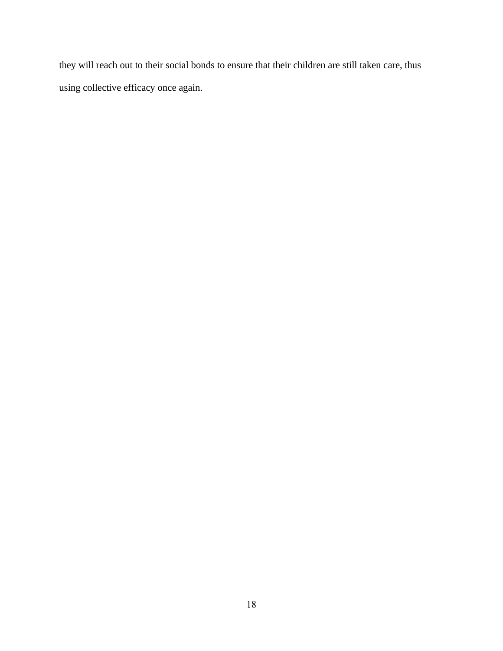they will reach out to their social bonds to ensure that their children are still taken care, thus using collective efficacy once again.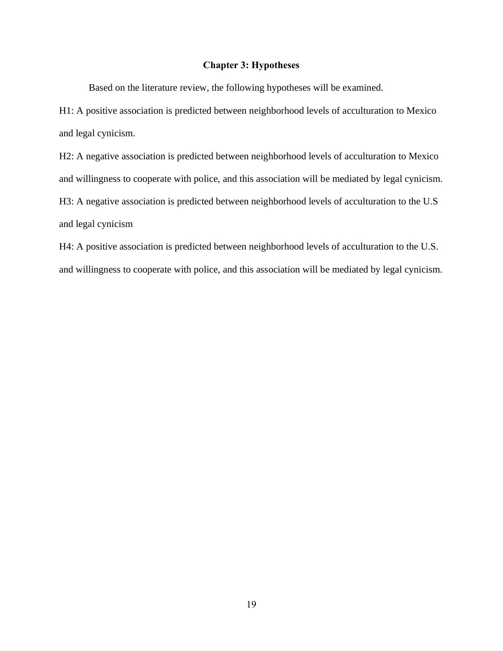#### **Chapter 3: Hypotheses**

<span id="page-26-0"></span>Based on the literature review, the following hypotheses will be examined.

H1: A positive association is predicted between neighborhood levels of acculturation to Mexico and legal cynicism.

H2: A negative association is predicted between neighborhood levels of acculturation to Mexico and willingness to cooperate with police, and this association will be mediated by legal cynicism. H3: A negative association is predicted between neighborhood levels of acculturation to the U.S and legal cynicism

H4: A positive association is predicted between neighborhood levels of acculturation to the U.S. and willingness to cooperate with police, and this association will be mediated by legal cynicism.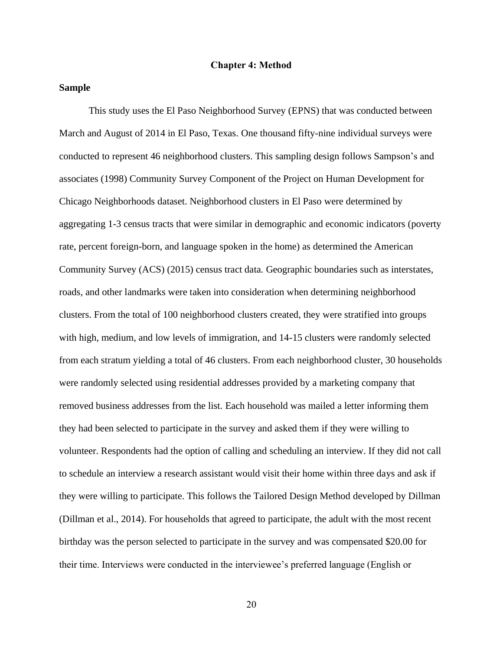#### **Chapter 4: Method**

#### <span id="page-27-0"></span>**Sample**

This study uses the El Paso Neighborhood Survey (EPNS) that was conducted between March and August of 2014 in El Paso, Texas. One thousand fifty-nine individual surveys were conducted to represent 46 neighborhood clusters. This sampling design follows Sampson's and associates (1998) Community Survey Component of the Project on Human Development for Chicago Neighborhoods dataset. Neighborhood clusters in El Paso were determined by aggregating 1-3 census tracts that were similar in demographic and economic indicators (poverty rate, percent foreign-born, and language spoken in the home) as determined the American Community Survey (ACS) (2015) census tract data. Geographic boundaries such as interstates, roads, and other landmarks were taken into consideration when determining neighborhood clusters. From the total of 100 neighborhood clusters created, they were stratified into groups with high, medium, and low levels of immigration, and 14-15 clusters were randomly selected from each stratum yielding a total of 46 clusters. From each neighborhood cluster, 30 households were randomly selected using residential addresses provided by a marketing company that removed business addresses from the list. Each household was mailed a letter informing them they had been selected to participate in the survey and asked them if they were willing to volunteer. Respondents had the option of calling and scheduling an interview. If they did not call to schedule an interview a research assistant would visit their home within three days and ask if they were willing to participate. This follows the Tailored Design Method developed by Dillman (Dillman et al., 2014). For households that agreed to participate, the adult with the most recent birthday was the person selected to participate in the survey and was compensated \$20.00 for their time. Interviews were conducted in the interviewee's preferred language (English or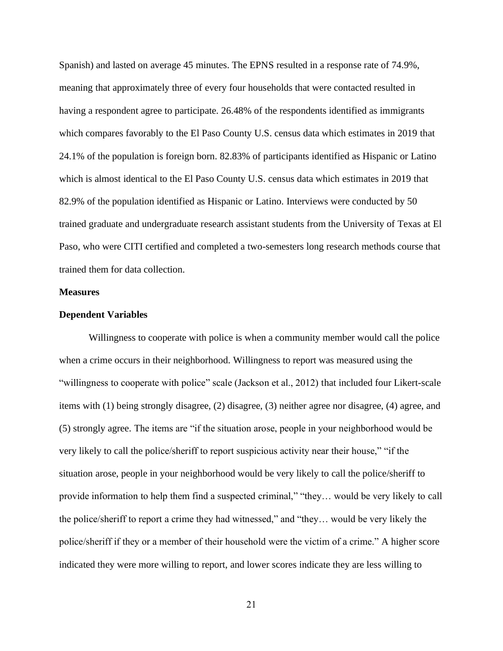Spanish) and lasted on average 45 minutes. The EPNS resulted in a response rate of 74.9%, meaning that approximately three of every four households that were contacted resulted in having a respondent agree to participate. 26.48% of the respondents identified as immigrants which compares favorably to the El Paso County U.S. census data which estimates in 2019 that 24.1% of the population is foreign born. 82.83% of participants identified as Hispanic or Latino which is almost identical to the El Paso County U.S. census data which estimates in 2019 that 82.9% of the population identified as Hispanic or Latino. Interviews were conducted by 50 trained graduate and undergraduate research assistant students from the University of Texas at El Paso, who were CITI certified and completed a two-semesters long research methods course that trained them for data collection.

#### **Measures**

#### **Dependent Variables**

Willingness to cooperate with police is when a community member would call the police when a crime occurs in their neighborhood. Willingness to report was measured using the "willingness to cooperate with police" scale (Jackson et al., 2012) that included four Likert-scale items with (1) being strongly disagree, (2) disagree, (3) neither agree nor disagree, (4) agree, and (5) strongly agree. The items are "if the situation arose, people in your neighborhood would be very likely to call the police/sheriff to report suspicious activity near their house," "if the situation arose, people in your neighborhood would be very likely to call the police/sheriff to provide information to help them find a suspected criminal," "they… would be very likely to call the police/sheriff to report a crime they had witnessed," and "they… would be very likely the police/sheriff if they or a member of their household were the victim of a crime." A higher score indicated they were more willing to report, and lower scores indicate they are less willing to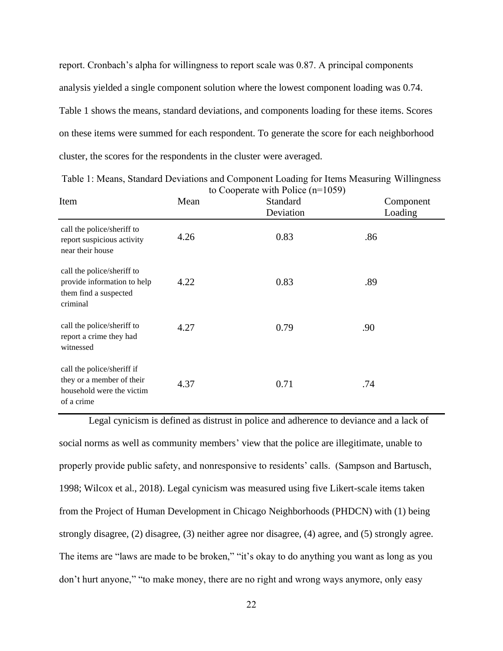report. Cronbach's alpha for willingness to report scale was 0.87. A principal components analysis yielded a single component solution where the lowest component loading was 0.74. Table 1 shows the means, standard deviations, and components loading for these items. Scores on these items were summed for each respondent. To generate the score for each neighborhood cluster, the scores for the respondents in the cluster were averaged.

| Item                                                                                               | to Cooperate with Police $(n=1059)$<br>Standard<br>Mean<br>Deviation |      |     |  |
|----------------------------------------------------------------------------------------------------|----------------------------------------------------------------------|------|-----|--|
| call the police/sheriff to<br>report suspicious activity<br>near their house                       | 4.26                                                                 | 0.83 | .86 |  |
| call the police/sheriff to<br>provide information to help<br>them find a suspected<br>criminal     | 4.22                                                                 | 0.83 | .89 |  |
| call the police/sheriff to<br>report a crime they had<br>witnessed                                 | 4.27                                                                 | 0.79 | .90 |  |
| call the police/sheriff if<br>they or a member of their<br>household were the victim<br>of a crime | 4.37                                                                 | 0.71 | .74 |  |

<span id="page-29-0"></span>Table 1: Means, Standard Deviations and Component Loading for Items Measuring Willingness to Cooperate with Police (n=1059)

Legal cynicism is defined as distrust in police and adherence to deviance and a lack of social norms as well as community members' view that the police are illegitimate, unable to properly provide public safety, and nonresponsive to residents' calls. (Sampson and Bartusch, 1998; Wilcox et al., 2018). Legal cynicism was measured using five Likert-scale items taken from the Project of Human Development in Chicago Neighborhoods (PHDCN) with (1) being strongly disagree, (2) disagree, (3) neither agree nor disagree, (4) agree, and (5) strongly agree. The items are "laws are made to be broken," "it's okay to do anything you want as long as you don't hurt anyone," "to make money, there are no right and wrong ways anymore, only easy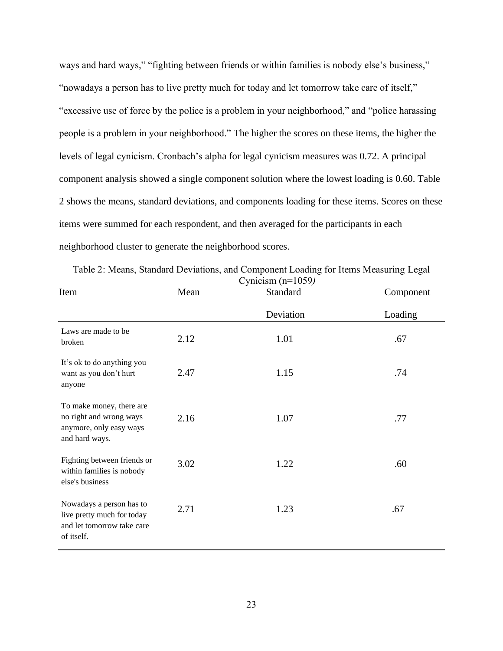ways and hard ways," "fighting between friends or within families is nobody else's business," "nowadays a person has to live pretty much for today and let tomorrow take care of itself," "excessive use of force by the police is a problem in your neighborhood," and "police harassing people is a problem in your neighborhood." The higher the scores on these items, the higher the levels of legal cynicism. Cronbach's alpha for legal cynicism measures was 0.72. A principal component analysis showed a single component solution where the lowest loading is 0.60. Table 2 shows the means, standard deviations, and components loading for these items. Scores on these items were summed for each respondent, and then averaged for the participants in each neighborhood cluster to generate the neighborhood scores.

| Item                                                                                               | Mean | $\mathcal{L}$ ymeisin (n. 1007)<br>Standard | Component |
|----------------------------------------------------------------------------------------------------|------|---------------------------------------------|-----------|
|                                                                                                    |      | Deviation                                   | Loading   |
| Laws are made to be<br>broken                                                                      | 2.12 | 1.01                                        | .67       |
| It's ok to do anything you<br>want as you don't hurt<br>anyone                                     | 2.47 | 1.15                                        | .74       |
| To make money, there are<br>no right and wrong ways<br>anymore, only easy ways<br>and hard ways.   | 2.16 | 1.07                                        | .77       |
| Fighting between friends or<br>within families is nobody<br>else's business                        | 3.02 | 1.22                                        | .60       |
| Nowadays a person has to<br>live pretty much for today<br>and let tomorrow take care<br>of itself. | 2.71 | 1.23                                        | .67       |

<span id="page-30-0"></span>Table 2: Means, Standard Deviations, and Component Loading for Items Measuring Legal Cynicism (n=1059*)*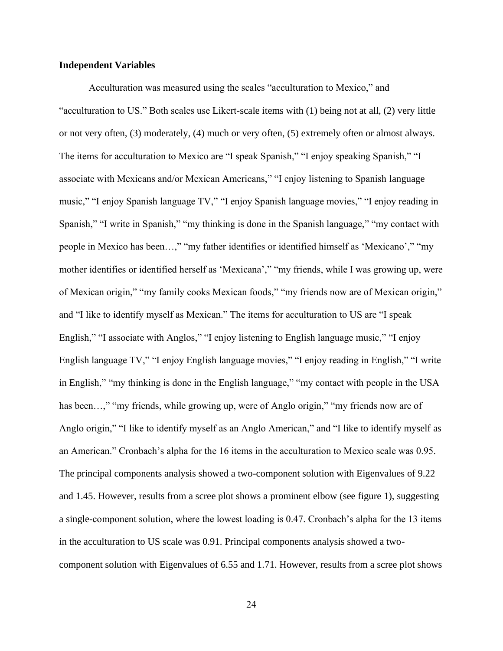#### **Independent Variables**

Acculturation was measured using the scales "acculturation to Mexico," and "acculturation to US." Both scales use Likert-scale items with (1) being not at all, (2) very little or not very often, (3) moderately, (4) much or very often, (5) extremely often or almost always. The items for acculturation to Mexico are "I speak Spanish," "I enjoy speaking Spanish," "I associate with Mexicans and/or Mexican Americans," "I enjoy listening to Spanish language music," "I enjoy Spanish language TV," "I enjoy Spanish language movies," "I enjoy reading in Spanish," "I write in Spanish," "my thinking is done in the Spanish language," "my contact with people in Mexico has been…," "my father identifies or identified himself as 'Mexicano'," "my mother identifies or identified herself as 'Mexicana'," "my friends, while I was growing up, were of Mexican origin," "my family cooks Mexican foods," "my friends now are of Mexican origin," and "I like to identify myself as Mexican." The items for acculturation to US are "I speak English," "I associate with Anglos," "I enjoy listening to English language music," "I enjoy English language TV," "I enjoy English language movies," "I enjoy reading in English," "I write in English," "my thinking is done in the English language," "my contact with people in the USA has been...," "my friends, while growing up, were of Anglo origin," "my friends now are of Anglo origin," "I like to identify myself as an Anglo American," and "I like to identify myself as an American." Cronbach's alpha for the 16 items in the acculturation to Mexico scale was 0.95. The principal components analysis showed a two-component solution with Eigenvalues of 9.22 and 1.45. However, results from a scree plot shows a prominent elbow (see figure 1), suggesting a single-component solution, where the lowest loading is 0.47. Cronbach's alpha for the 13 items in the acculturation to US scale was 0.91. Principal components analysis showed a twocomponent solution with Eigenvalues of 6.55 and 1.71. However, results from a scree plot shows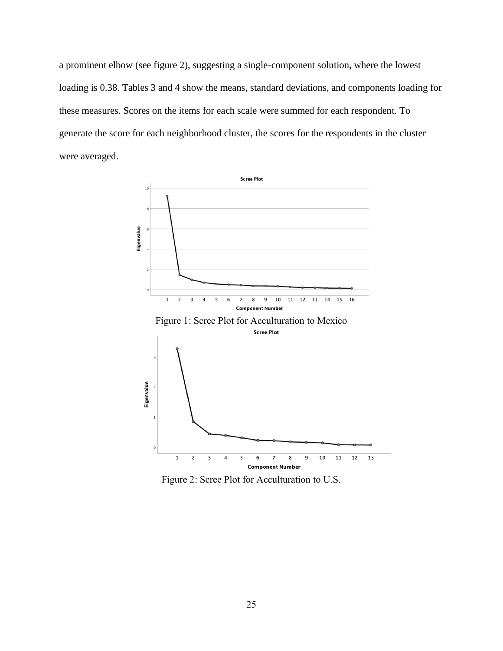a prominent elbow (see figure 2), suggesting a single-component solution, where the lowest loading is 0.38. Tables 3 and 4 show the means, standard deviations, and components loading for these measures. Scores on the items for each scale were summed for each respondent. To generate the score for each neighborhood cluster, the scores for the respondents in the cluster were averaged.

<span id="page-32-0"></span>

<span id="page-32-1"></span>Figure 2: Scree Plot for Acculturation to U.S.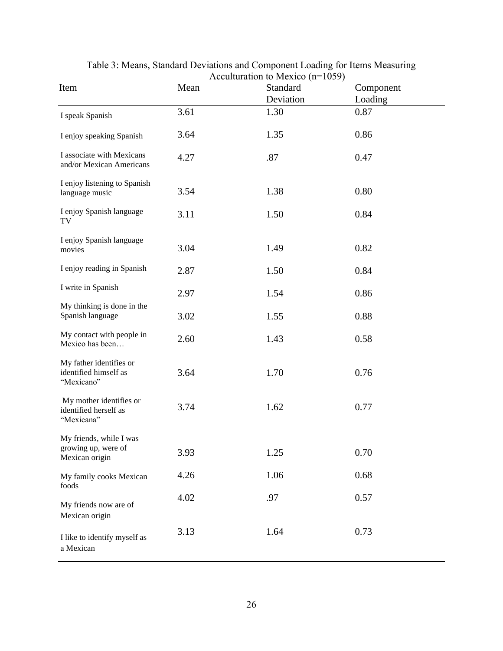<span id="page-33-0"></span>

| Item                                                             | Mean | $\Lambda$ ceunturation to ivicaleo ( $\mu$ –1007)<br>Standard<br>Deviation | Component<br>Loading |
|------------------------------------------------------------------|------|----------------------------------------------------------------------------|----------------------|
| I speak Spanish                                                  | 3.61 | 1.30                                                                       | 0.87                 |
| I enjoy speaking Spanish                                         | 3.64 | 1.35                                                                       | 0.86                 |
| I associate with Mexicans<br>and/or Mexican Americans            | 4.27 | .87                                                                        | 0.47                 |
| I enjoy listening to Spanish<br>language music                   | 3.54 | 1.38                                                                       | 0.80                 |
| I enjoy Spanish language<br>TV                                   | 3.11 | 1.50                                                                       | 0.84                 |
| I enjoy Spanish language<br>movies                               | 3.04 | 1.49                                                                       | 0.82                 |
| I enjoy reading in Spanish                                       | 2.87 | 1.50                                                                       | 0.84                 |
| I write in Spanish                                               | 2.97 | 1.54                                                                       | 0.86                 |
| My thinking is done in the<br>Spanish language                   | 3.02 | 1.55                                                                       | 0.88                 |
| My contact with people in<br>Mexico has been                     | 2.60 | 1.43                                                                       | 0.58                 |
| My father identifies or<br>identified himself as<br>"Mexicano"   | 3.64 | 1.70                                                                       | 0.76                 |
| My mother identifies or<br>identified herself as<br>"Mexicana"   | 3.74 | 1.62                                                                       | 0.77                 |
| My friends, while I was<br>growing up, were of<br>Mexican origin | 3.93 | 1.25                                                                       | 0.70                 |
| My family cooks Mexican<br>foods                                 | 4.26 | 1.06                                                                       | 0.68                 |
| My friends now are of<br>Mexican origin                          | 4.02 | .97                                                                        | 0.57                 |
| I like to identify myself as<br>a Mexican                        | 3.13 | 1.64                                                                       | 0.73                 |

Table 3: Means, Standard Deviations and Component Loading for Items Measuring Acculturation to Mexico (n=1059)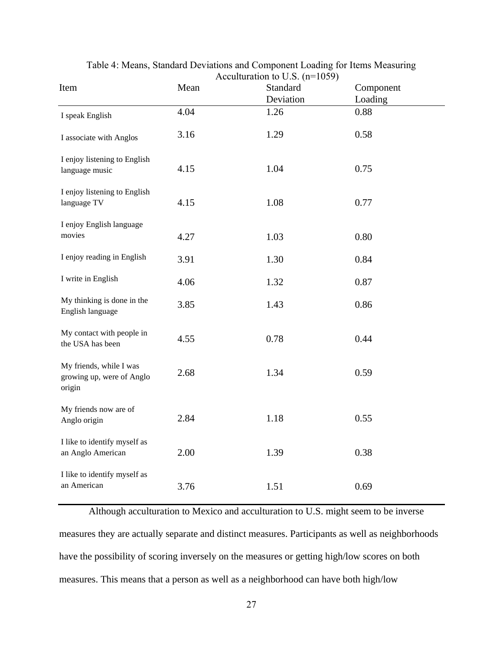<span id="page-34-0"></span>

| Item                                                           | Mean | ACCUITULATION to U.S. $(11 - 1039)$<br>Standard | Component |
|----------------------------------------------------------------|------|-------------------------------------------------|-----------|
|                                                                |      | Deviation                                       | Loading   |
| I speak English                                                | 4.04 | 1.26                                            | 0.88      |
| I associate with Anglos                                        | 3.16 | 1.29                                            | 0.58      |
| I enjoy listening to English<br>language music                 | 4.15 | 1.04                                            | 0.75      |
| I enjoy listening to English<br>language TV                    | 4.15 | 1.08                                            | 0.77      |
| I enjoy English language<br>movies                             | 4.27 | 1.03                                            | 0.80      |
| I enjoy reading in English                                     | 3.91 | 1.30                                            | 0.84      |
| I write in English                                             | 4.06 | 1.32                                            | 0.87      |
| My thinking is done in the<br>English language                 | 3.85 | 1.43                                            | 0.86      |
| My contact with people in<br>the USA has been                  | 4.55 | 0.78                                            | 0.44      |
| My friends, while I was<br>growing up, were of Anglo<br>origin | 2.68 | 1.34                                            | 0.59      |
| My friends now are of<br>Anglo origin                          | 2.84 | 1.18                                            | 0.55      |
| I like to identify myself as<br>an Anglo American              | 2.00 | 1.39                                            | 0.38      |
| I like to identify myself as<br>an American                    | 3.76 | 1.51                                            | 0.69      |

Table 4: Means, Standard Deviations and Component Loading for Items Measuring Acculturation to  $\overline{I}$  (n=1059)

Although acculturation to Mexico and acculturation to U.S. might seem to be inverse measures they are actually separate and distinct measures. Participants as well as neighborhoods have the possibility of scoring inversely on the measures or getting high/low scores on both measures. This means that a person as well as a neighborhood can have both high/low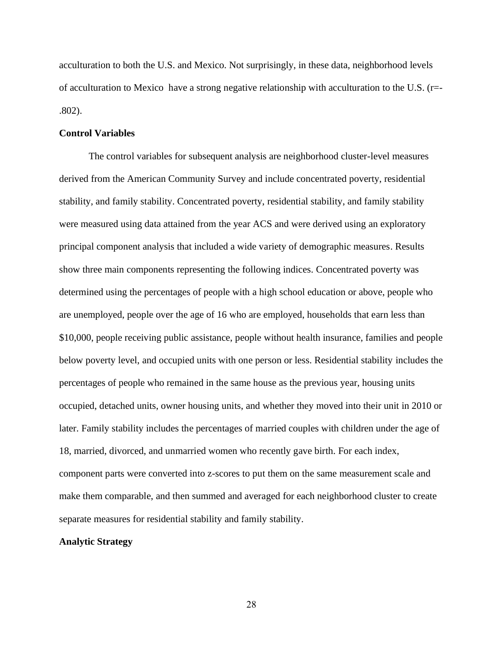acculturation to both the U.S. and Mexico. Not surprisingly, in these data, neighborhood levels of acculturation to Mexico have a strong negative relationship with acculturation to the U.S. (r=- .802).

#### **Control Variables**

The control variables for subsequent analysis are neighborhood cluster-level measures derived from the American Community Survey and include concentrated poverty, residential stability, and family stability. Concentrated poverty, residential stability, and family stability were measured using data attained from the year ACS and were derived using an exploratory principal component analysis that included a wide variety of demographic measures. Results show three main components representing the following indices. Concentrated poverty was determined using the percentages of people with a high school education or above, people who are unemployed, people over the age of 16 who are employed, households that earn less than \$10,000, people receiving public assistance, people without health insurance, families and people below poverty level, and occupied units with one person or less. Residential stability includes the percentages of people who remained in the same house as the previous year, housing units occupied, detached units, owner housing units, and whether they moved into their unit in 2010 or later. Family stability includes the percentages of married couples with children under the age of 18, married, divorced, and unmarried women who recently gave birth. For each index, component parts were converted into z-scores to put them on the same measurement scale and make them comparable, and then summed and averaged for each neighborhood cluster to create separate measures for residential stability and family stability.

#### **Analytic Strategy**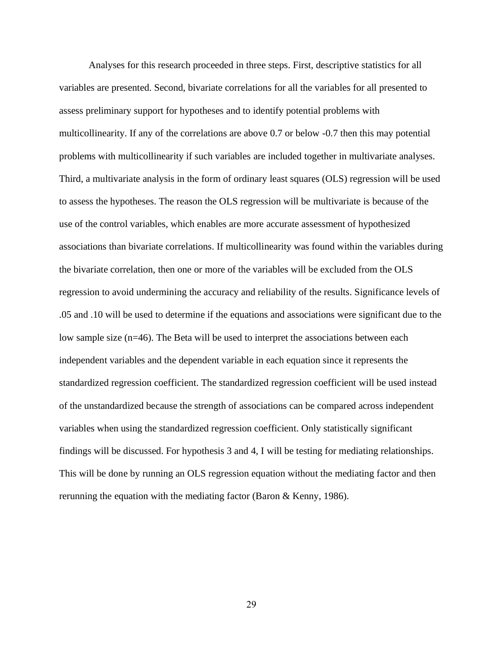Analyses for this research proceeded in three steps. First, descriptive statistics for all variables are presented. Second, bivariate correlations for all the variables for all presented to assess preliminary support for hypotheses and to identify potential problems with multicollinearity. If any of the correlations are above 0.7 or below -0.7 then this may potential problems with multicollinearity if such variables are included together in multivariate analyses. Third, a multivariate analysis in the form of ordinary least squares (OLS) regression will be used to assess the hypotheses. The reason the OLS regression will be multivariate is because of the use of the control variables, which enables are more accurate assessment of hypothesized associations than bivariate correlations. If multicollinearity was found within the variables during the bivariate correlation, then one or more of the variables will be excluded from the OLS regression to avoid undermining the accuracy and reliability of the results. Significance levels of .05 and .10 will be used to determine if the equations and associations were significant due to the low sample size (n=46). The Beta will be used to interpret the associations between each independent variables and the dependent variable in each equation since it represents the standardized regression coefficient. The standardized regression coefficient will be used instead of the unstandardized because the strength of associations can be compared across independent variables when using the standardized regression coefficient. Only statistically significant findings will be discussed. For hypothesis 3 and 4, I will be testing for mediating relationships. This will be done by running an OLS regression equation without the mediating factor and then rerunning the equation with the mediating factor (Baron & Kenny, 1986).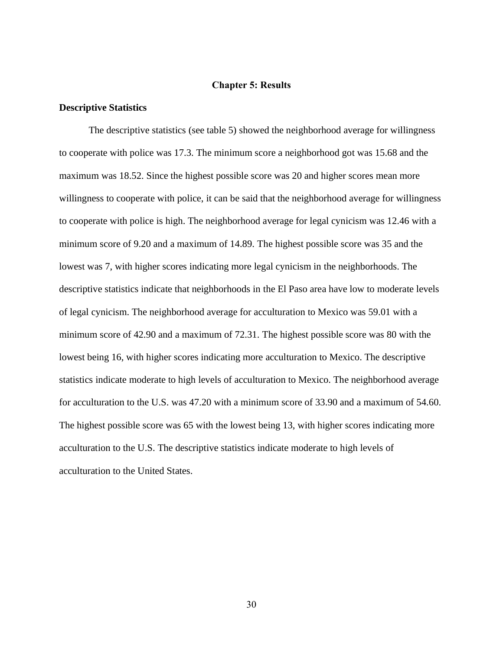#### **Chapter 5: Results**

#### <span id="page-37-0"></span>**Descriptive Statistics**

The descriptive statistics (see table 5) showed the neighborhood average for willingness to cooperate with police was 17.3. The minimum score a neighborhood got was 15.68 and the maximum was 18.52. Since the highest possible score was 20 and higher scores mean more willingness to cooperate with police, it can be said that the neighborhood average for willingness to cooperate with police is high. The neighborhood average for legal cynicism was 12.46 with a minimum score of 9.20 and a maximum of 14.89. The highest possible score was 35 and the lowest was 7, with higher scores indicating more legal cynicism in the neighborhoods. The descriptive statistics indicate that neighborhoods in the El Paso area have low to moderate levels of legal cynicism. The neighborhood average for acculturation to Mexico was 59.01 with a minimum score of 42.90 and a maximum of 72.31. The highest possible score was 80 with the lowest being 16, with higher scores indicating more acculturation to Mexico. The descriptive statistics indicate moderate to high levels of acculturation to Mexico. The neighborhood average for acculturation to the U.S. was 47.20 with a minimum score of 33.90 and a maximum of 54.60. The highest possible score was 65 with the lowest being 13, with higher scores indicating more acculturation to the U.S. The descriptive statistics indicate moderate to high levels of acculturation to the United States.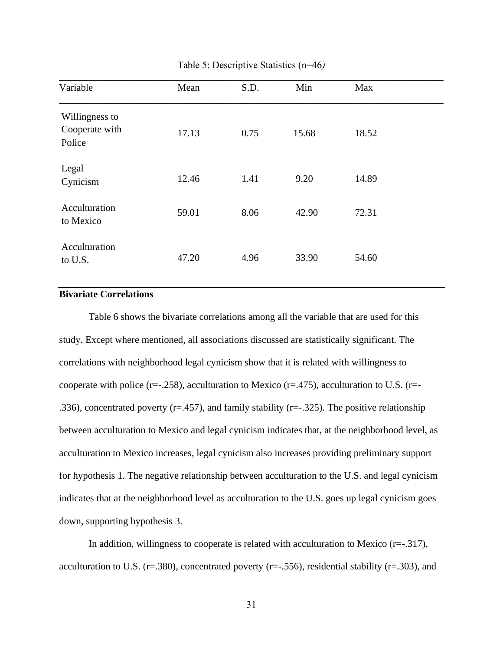<span id="page-38-0"></span>

| Variable                                   | Mean  | S.D. | Min   | Max   |
|--------------------------------------------|-------|------|-------|-------|
| Willingness to<br>Cooperate with<br>Police | 17.13 | 0.75 | 15.68 | 18.52 |
| Legal<br>Cynicism                          | 12.46 | 1.41 | 9.20  | 14.89 |
| Acculturation<br>to Mexico                 | 59.01 | 8.06 | 42.90 | 72.31 |
| Acculturation<br>to U.S.                   | 47.20 | 4.96 | 33.90 | 54.60 |

Table 5: Descriptive Statistics (n=46*)*

#### **Bivariate Correlations**  $\frac{1}{2}$ divaliat<mark>t</mark>

Table 6 shows the bivariate correlations among all the variable that are used for this study. Except where mentioned, all associations discussed are statistically significant. The correlations with neighborhood legal cynicism show that it is related with willingness to cooperate with police ( $r=-.258$ ), acculturation to Mexico ( $r=-.475$ ), acculturation to U.S. ( $r=-.258$ ) .336), concentrated poverty ( $r = .457$ ), and family stability ( $r = .325$ ). The positive relationship between acculturation to Mexico and legal cynicism indicates that, at the neighborhood level, as acculturation to Mexico increases, legal cynicism also increases providing preliminary support for hypothesis 1. The negative relationship between acculturation to the U.S. and legal cynicism indicates that at the neighborhood level as acculturation to the U.S. goes up legal cynicism goes down, supporting hypothesis 3.

In addition, willingness to cooperate is related with acculturation to Mexico  $(r=-.317)$ , acculturation to U.S. ( $r=.380$ ), concentrated poverty ( $r=.556$ ), residential stability ( $r=.303$ ), and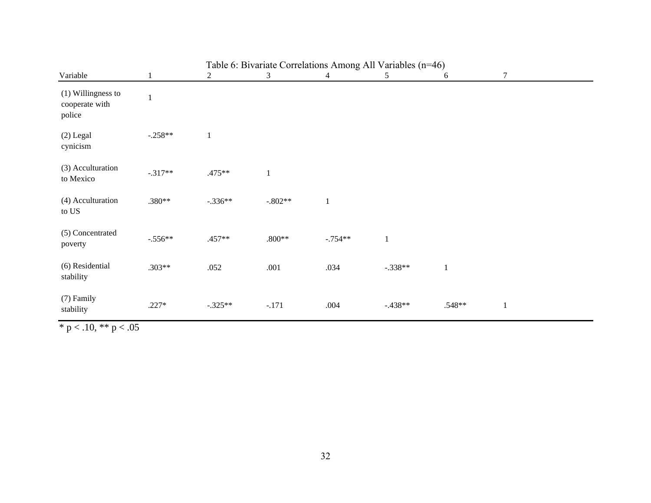|                                                |              | Table 6: Bivariate Correlations Among All Variables (n=46) |              |              |              |              |              |  |  |
|------------------------------------------------|--------------|------------------------------------------------------------|--------------|--------------|--------------|--------------|--------------|--|--|
| Variable                                       | $\mathbf{1}$ | 2                                                          | 3            | 4            | 5            | 6            | $\tau$       |  |  |
| (1) Willingness to<br>cooperate with<br>police | $\mathbf{1}$ |                                                            |              |              |              |              |              |  |  |
| $(2)$ Legal<br>cynicism                        | $-.258**$    | $\mathbf{1}$                                               |              |              |              |              |              |  |  |
| (3) Acculturation<br>to Mexico                 | $-.317**$    | $.475**$                                                   | $\mathbf{1}$ |              |              |              |              |  |  |
| (4) Acculturation<br>to US                     | .380**       | $-.336**$                                                  | $-.802**$    | $\mathbf{1}$ |              |              |              |  |  |
| (5) Concentrated<br>poverty                    | $-.556**$    | .457**                                                     | $.800**$     | $-.754**$    | $\mathbf{1}$ |              |              |  |  |
| (6) Residential<br>stability                   | $.303**$     | .052                                                       | $.001$       | .034         | $-.338**$    | $\mathbf{1}$ |              |  |  |
| (7) Family<br>stability                        | $.227*$      | $-.325**$                                                  | $-.171$      | .004         | $-.438**$    | $.548**$     | $\mathbf{1}$ |  |  |

<span id="page-39-0"></span>\* p < .10, \*\* p < .05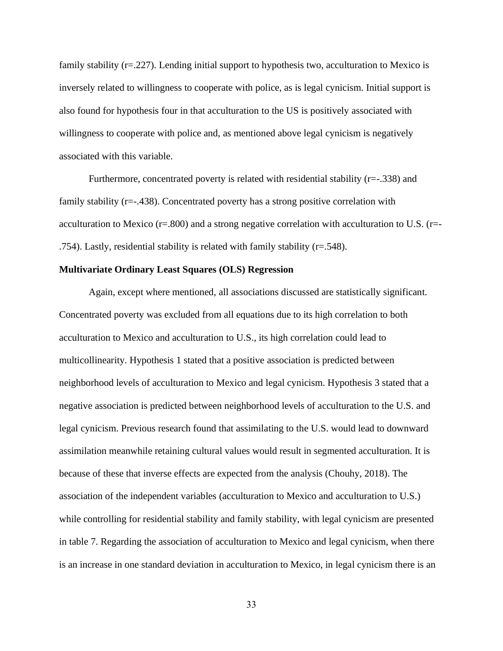family stability (r=.227). Lending initial support to hypothesis two, acculturation to Mexico is inversely related to willingness to cooperate with police, as is legal cynicism. Initial support is also found for hypothesis four in that acculturation to the US is positively associated with willingness to cooperate with police and, as mentioned above legal cynicism is negatively associated with this variable.

Furthermore, concentrated poverty is related with residential stability (r=-.338) and family stability (r=-.438). Concentrated poverty has a strong positive correlation with acculturation to Mexico (r=.800) and a strong negative correlation with acculturation to U.S. (r=- .754). Lastly, residential stability is related with family stability (r=.548).

#### **Multivariate Ordinary Least Squares (OLS) Regression**

Again, except where mentioned, all associations discussed are statistically significant. Concentrated poverty was excluded from all equations due to its high correlation to both acculturation to Mexico and acculturation to U.S., its high correlation could lead to multicollinearity. Hypothesis 1 stated that a positive association is predicted between neighborhood levels of acculturation to Mexico and legal cynicism. Hypothesis 3 stated that a negative association is predicted between neighborhood levels of acculturation to the U.S. and legal cynicism. Previous research found that assimilating to the U.S. would lead to downward assimilation meanwhile retaining cultural values would result in segmented acculturation. It is because of these that inverse effects are expected from the analysis (Chouhy, 2018). The association of the independent variables (acculturation to Mexico and acculturation to U.S.) while controlling for residential stability and family stability, with legal cynicism are presented in table 7. Regarding the association of acculturation to Mexico and legal cynicism, when there is an increase in one standard deviation in acculturation to Mexico, in legal cynicism there is an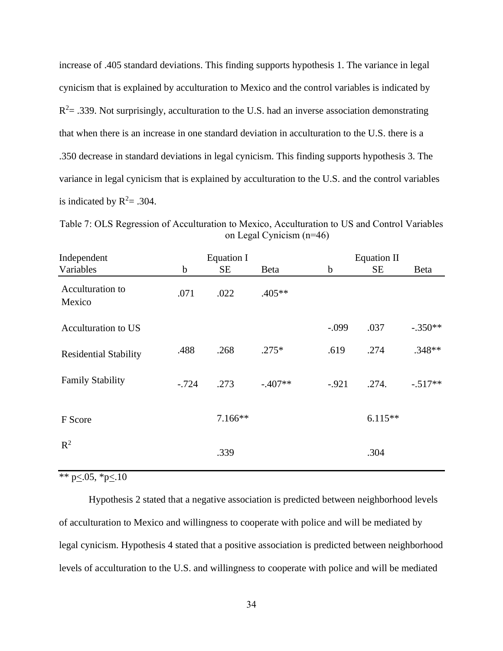increase of .405 standard deviations. This finding supports hypothesis 1. The variance in legal cynicism that is explained by acculturation to Mexico and the control variables is indicated by  $R<sup>2</sup>=$  .339. Not surprisingly, acculturation to the U.S. had an inverse association demonstrating that when there is an increase in one standard deviation in acculturation to the U.S. there is a .350 decrease in standard deviations in legal cynicism. This finding supports hypothesis 3. The variance in legal cynicism that is explained by acculturation to the U.S. and the control variables is indicated by  $R^2 = .304$ .

<span id="page-41-0"></span>Table 7: OLS Regression of Acculturation to Mexico, Acculturation to US and Control Variables on Legal Cynicism (n=46)

| Independent                  |             | Equation I |           |             | <b>Equation II</b> |           |  |  |
|------------------------------|-------------|------------|-----------|-------------|--------------------|-----------|--|--|
| Variables                    | $\mathbf b$ | SE         | Beta      | $\mathbf b$ | <b>SE</b>          | Beta      |  |  |
| Acculturation to<br>Mexico   | .071        | .022       | .405**    |             |                    |           |  |  |
| Acculturation to US          |             |            |           | $-.099$     | .037               | $-.350**$ |  |  |
| <b>Residential Stability</b> | .488        | .268       | $.275*$   | .619        | .274               | $.348**$  |  |  |
| <b>Family Stability</b>      | $-.724$     | .273       | $-.407**$ | $-.921$     | .274.              | $-.517**$ |  |  |
| F Score                      |             | $7.166**$  |           |             | $6.115**$          |           |  |  |
| $R^2$                        |             | .339       |           |             | .304               |           |  |  |

\*\* p $\leq$ .05, \*p $\leq$ .10

Hypothesis 2 stated that a negative association is predicted between neighborhood levels of acculturation to Mexico and willingness to cooperate with police and will be mediated by legal cynicism. Hypothesis 4 stated that a positive association is predicted between neighborhood levels of acculturation to the U.S. and willingness to cooperate with police and will be mediated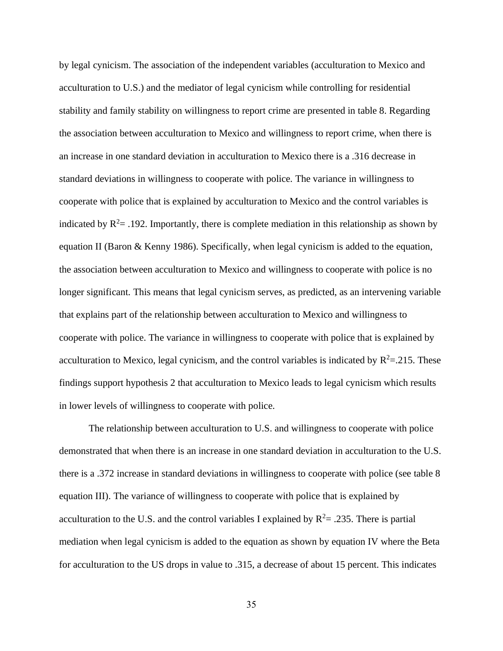by legal cynicism. The association of the independent variables (acculturation to Mexico and acculturation to U.S.) and the mediator of legal cynicism while controlling for residential stability and family stability on willingness to report crime are presented in table 8. Regarding the association between acculturation to Mexico and willingness to report crime, when there is an increase in one standard deviation in acculturation to Mexico there is a .316 decrease in standard deviations in willingness to cooperate with police. The variance in willingness to cooperate with police that is explained by acculturation to Mexico and the control variables is indicated by  $R^2$  = .192. Importantly, there is complete mediation in this relationship as shown by equation II (Baron & Kenny 1986). Specifically, when legal cynicism is added to the equation, the association between acculturation to Mexico and willingness to cooperate with police is no longer significant. This means that legal cynicism serves, as predicted, as an intervening variable that explains part of the relationship between acculturation to Mexico and willingness to cooperate with police. The variance in willingness to cooperate with police that is explained by acculturation to Mexico, legal cynicism, and the control variables is indicated by  $R^2 = 0.215$ . These findings support hypothesis 2 that acculturation to Mexico leads to legal cynicism which results in lower levels of willingness to cooperate with police.

The relationship between acculturation to U.S. and willingness to cooperate with police demonstrated that when there is an increase in one standard deviation in acculturation to the U.S. there is a .372 increase in standard deviations in willingness to cooperate with police (see table 8 equation III). The variance of willingness to cooperate with police that is explained by acculturation to the U.S. and the control variables I explained by  $R^2 = .235$ . There is partial mediation when legal cynicism is added to the equation as shown by equation IV where the Beta for acculturation to the US drops in value to .315, a decrease of about 15 percent. This indicates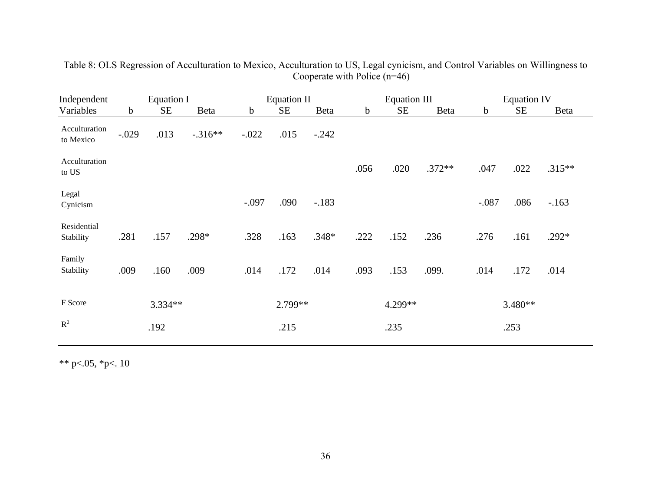<span id="page-43-0"></span>

| Independent                                |         | Equation I |             | <b>Equation II</b> |         | <b>Equation III</b> |      |           | <b>Equation IV</b> |             |           |          |
|--------------------------------------------|---------|------------|-------------|--------------------|---------|---------------------|------|-----------|--------------------|-------------|-----------|----------|
| Variables                                  | b       | <b>SE</b>  | <b>Beta</b> | $\mathbf b$        | SE      | Beta                | b    | <b>SE</b> | <b>Beta</b>        | $\mathbf b$ | <b>SE</b> | Beta     |
| Acculturation<br>to Mexico                 | $-.029$ | .013       | $-.316**$   | $-.022$            | .015    | $-.242$             |      |           |                    |             |           |          |
| Acculturation<br>to $\mathbf{U}\mathbf{S}$ |         |            |             |                    |         |                     | .056 | .020      | $.372**$           | .047        | .022      | $.315**$ |
| Legal<br>Cynicism                          |         |            |             | $-.097$            | .090    | $-.183$             |      |           |                    | $-.087$     | .086      | $-163$   |
| Residential<br>Stability                   | .281    | .157       | .298*       | .328               | .163    | $.348*$             | .222 | .152      | .236               | .276        | .161      | .292*    |
| Family<br>Stability                        | .009    | .160       | .009        | .014               | .172    | .014                | .093 | .153      | .099.              | .014        | .172      | .014     |
| F Score                                    |         | $3.334**$  |             |                    | 2.799** |                     |      | 4.299**   |                    |             | 3.480**   |          |
| $R^2$                                      |         | .192       |             |                    | .215    |                     |      | .235      |                    |             | .253      |          |

Table 8: OLS Regression of Acculturation to Mexico, Acculturation to US, Legal cynicism, and Control Variables on Willingness to Cooperate with Police (n=46)

\*\* p $\leq$ .05, \*p $\leq$ .10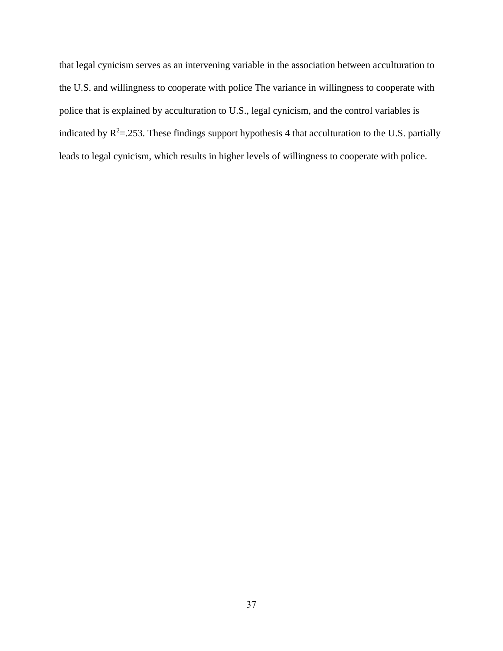that legal cynicism serves as an intervening variable in the association between acculturation to the U.S. and willingness to cooperate with police The variance in willingness to cooperate with police that is explained by acculturation to U.S., legal cynicism, and the control variables is indicated by  $R^2 = 0.253$ . These findings support hypothesis 4 that acculturation to the U.S. partially leads to legal cynicism, which results in higher levels of willingness to cooperate with police.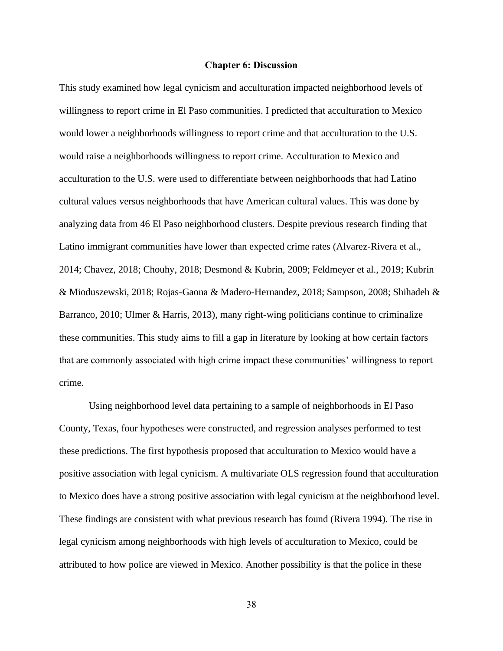#### **Chapter 6: Discussion**

<span id="page-45-0"></span>This study examined how legal cynicism and acculturation impacted neighborhood levels of willingness to report crime in El Paso communities. I predicted that acculturation to Mexico would lower a neighborhoods willingness to report crime and that acculturation to the U.S. would raise a neighborhoods willingness to report crime. Acculturation to Mexico and acculturation to the U.S. were used to differentiate between neighborhoods that had Latino cultural values versus neighborhoods that have American cultural values. This was done by analyzing data from 46 El Paso neighborhood clusters. Despite previous research finding that Latino immigrant communities have lower than expected crime rates (Alvarez-Rivera et al., 2014; Chavez, 2018; Chouhy, 2018; Desmond & Kubrin, 2009; Feldmeyer et al., 2019; Kubrin & Mioduszewski, 2018; Rojas-Gaona & Madero-Hernandez, 2018; Sampson, 2008; Shihadeh & Barranco, 2010; Ulmer & Harris, 2013), many right-wing politicians continue to criminalize these communities. This study aims to fill a gap in literature by looking at how certain factors that are commonly associated with high crime impact these communities' willingness to report crime.

Using neighborhood level data pertaining to a sample of neighborhoods in El Paso County, Texas, four hypotheses were constructed, and regression analyses performed to test these predictions. The first hypothesis proposed that acculturation to Mexico would have a positive association with legal cynicism. A multivariate OLS regression found that acculturation to Mexico does have a strong positive association with legal cynicism at the neighborhood level. These findings are consistent with what previous research has found (Rivera 1994). The rise in legal cynicism among neighborhoods with high levels of acculturation to Mexico, could be attributed to how police are viewed in Mexico. Another possibility is that the police in these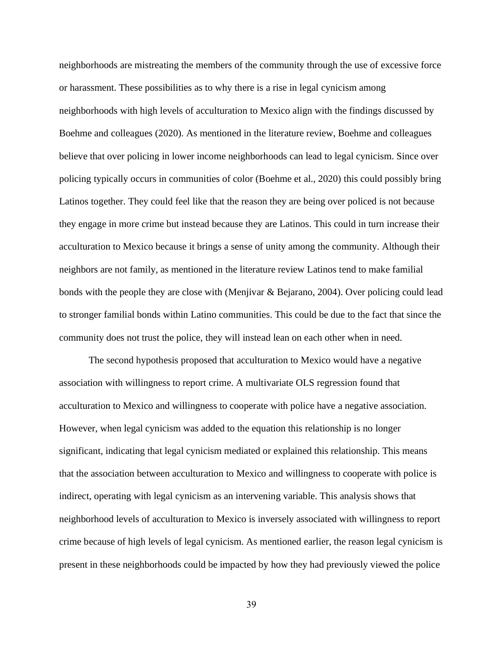neighborhoods are mistreating the members of the community through the use of excessive force or harassment. These possibilities as to why there is a rise in legal cynicism among neighborhoods with high levels of acculturation to Mexico align with the findings discussed by Boehme and colleagues (2020). As mentioned in the literature review, Boehme and colleagues believe that over policing in lower income neighborhoods can lead to legal cynicism. Since over policing typically occurs in communities of color (Boehme et al., 2020) this could possibly bring Latinos together. They could feel like that the reason they are being over policed is not because they engage in more crime but instead because they are Latinos. This could in turn increase their acculturation to Mexico because it brings a sense of unity among the community. Although their neighbors are not family, as mentioned in the literature review Latinos tend to make familial bonds with the people they are close with (Menjivar  $\&$  Bejarano, 2004). Over policing could lead to stronger familial bonds within Latino communities. This could be due to the fact that since the community does not trust the police, they will instead lean on each other when in need.

The second hypothesis proposed that acculturation to Mexico would have a negative association with willingness to report crime. A multivariate OLS regression found that acculturation to Mexico and willingness to cooperate with police have a negative association. However, when legal cynicism was added to the equation this relationship is no longer significant, indicating that legal cynicism mediated or explained this relationship. This means that the association between acculturation to Mexico and willingness to cooperate with police is indirect, operating with legal cynicism as an intervening variable. This analysis shows that neighborhood levels of acculturation to Mexico is inversely associated with willingness to report crime because of high levels of legal cynicism. As mentioned earlier, the reason legal cynicism is present in these neighborhoods could be impacted by how they had previously viewed the police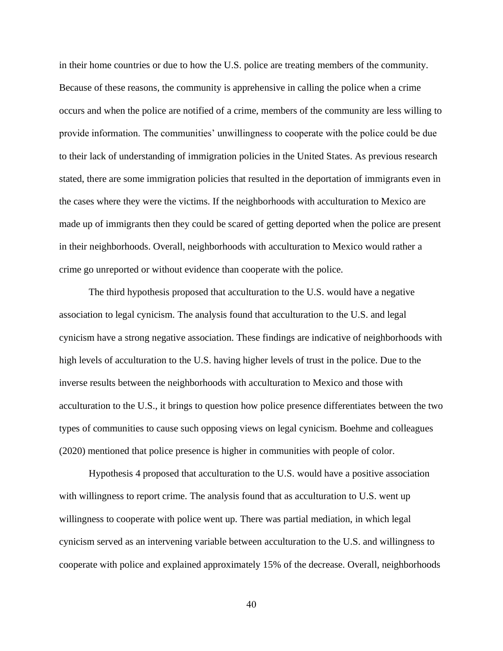in their home countries or due to how the U.S. police are treating members of the community. Because of these reasons, the community is apprehensive in calling the police when a crime occurs and when the police are notified of a crime, members of the community are less willing to provide information. The communities' unwillingness to cooperate with the police could be due to their lack of understanding of immigration policies in the United States. As previous research stated, there are some immigration policies that resulted in the deportation of immigrants even in the cases where they were the victims. If the neighborhoods with acculturation to Mexico are made up of immigrants then they could be scared of getting deported when the police are present in their neighborhoods. Overall, neighborhoods with acculturation to Mexico would rather a crime go unreported or without evidence than cooperate with the police.

The third hypothesis proposed that acculturation to the U.S. would have a negative association to legal cynicism. The analysis found that acculturation to the U.S. and legal cynicism have a strong negative association. These findings are indicative of neighborhoods with high levels of acculturation to the U.S. having higher levels of trust in the police. Due to the inverse results between the neighborhoods with acculturation to Mexico and those with acculturation to the U.S., it brings to question how police presence differentiates between the two types of communities to cause such opposing views on legal cynicism. Boehme and colleagues (2020) mentioned that police presence is higher in communities with people of color.

Hypothesis 4 proposed that acculturation to the U.S. would have a positive association with willingness to report crime. The analysis found that as acculturation to U.S. went up willingness to cooperate with police went up. There was partial mediation, in which legal cynicism served as an intervening variable between acculturation to the U.S. and willingness to cooperate with police and explained approximately 15% of the decrease. Overall, neighborhoods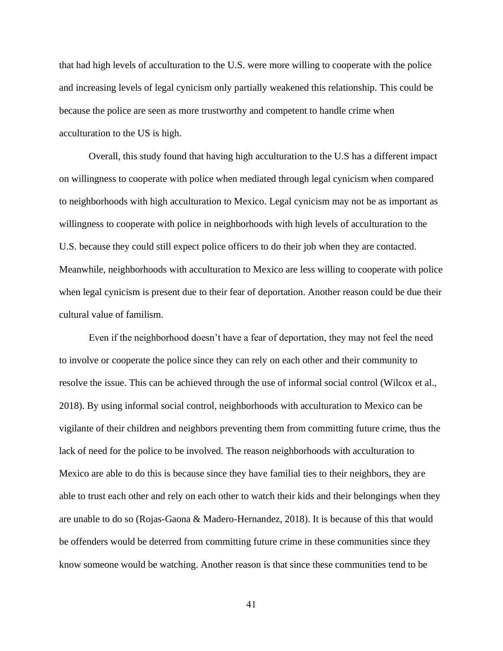that had high levels of acculturation to the U.S. were more willing to cooperate with the police and increasing levels of legal cynicism only partially weakened this relationship. This could be because the police are seen as more trustworthy and competent to handle crime when acculturation to the US is high.

Overall, this study found that having high acculturation to the U.S has a different impact on willingness to cooperate with police when mediated through legal cynicism when compared to neighborhoods with high acculturation to Mexico. Legal cynicism may not be as important as willingness to cooperate with police in neighborhoods with high levels of acculturation to the U.S. because they could still expect police officers to do their job when they are contacted. Meanwhile, neighborhoods with acculturation to Mexico are less willing to cooperate with police when legal cynicism is present due to their fear of deportation. Another reason could be due their cultural value of familism.

Even if the neighborhood doesn't have a fear of deportation, they may not feel the need to involve or cooperate the police since they can rely on each other and their community to resolve the issue. This can be achieved through the use of informal social control (Wilcox et al., 2018). By using informal social control, neighborhoods with acculturation to Mexico can be vigilante of their children and neighbors preventing them from committing future crime, thus the lack of need for the police to be involved. The reason neighborhoods with acculturation to Mexico are able to do this is because since they have familial ties to their neighbors, they are able to trust each other and rely on each other to watch their kids and their belongings when they are unable to do so (Rojas-Gaona & Madero-Hernandez, 2018). It is because of this that would be offenders would be deterred from committing future crime in these communities since they know someone would be watching. Another reason is that since these communities tend to be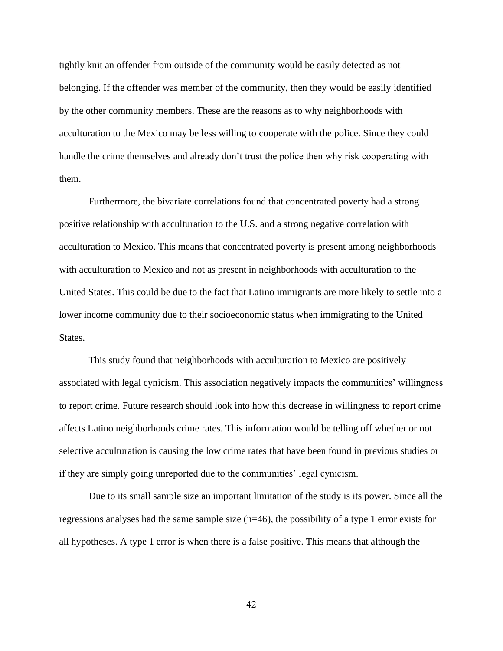tightly knit an offender from outside of the community would be easily detected as not belonging. If the offender was member of the community, then they would be easily identified by the other community members. These are the reasons as to why neighborhoods with acculturation to the Mexico may be less willing to cooperate with the police. Since they could handle the crime themselves and already don't trust the police then why risk cooperating with them.

Furthermore, the bivariate correlations found that concentrated poverty had a strong positive relationship with acculturation to the U.S. and a strong negative correlation with acculturation to Mexico. This means that concentrated poverty is present among neighborhoods with acculturation to Mexico and not as present in neighborhoods with acculturation to the United States. This could be due to the fact that Latino immigrants are more likely to settle into a lower income community due to their socioeconomic status when immigrating to the United States.

This study found that neighborhoods with acculturation to Mexico are positively associated with legal cynicism. This association negatively impacts the communities' willingness to report crime. Future research should look into how this decrease in willingness to report crime affects Latino neighborhoods crime rates. This information would be telling off whether or not selective acculturation is causing the low crime rates that have been found in previous studies or if they are simply going unreported due to the communities' legal cynicism.

Due to its small sample size an important limitation of the study is its power. Since all the regressions analyses had the same sample size (n=46), the possibility of a type 1 error exists for all hypotheses. A type 1 error is when there is a false positive. This means that although the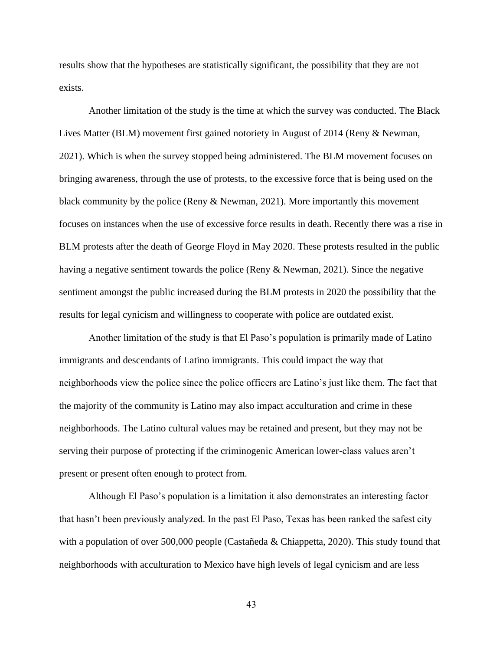results show that the hypotheses are statistically significant, the possibility that they are not exists.

Another limitation of the study is the time at which the survey was conducted. The Black Lives Matter (BLM) movement first gained notoriety in August of 2014 (Reny & Newman, 2021). Which is when the survey stopped being administered. The BLM movement focuses on bringing awareness, through the use of protests, to the excessive force that is being used on the black community by the police (Reny & Newman, 2021). More importantly this movement focuses on instances when the use of excessive force results in death. Recently there was a rise in BLM protests after the death of George Floyd in May 2020. These protests resulted in the public having a negative sentiment towards the police (Reny & Newman, 2021). Since the negative sentiment amongst the public increased during the BLM protests in 2020 the possibility that the results for legal cynicism and willingness to cooperate with police are outdated exist.

Another limitation of the study is that El Paso's population is primarily made of Latino immigrants and descendants of Latino immigrants. This could impact the way that neighborhoods view the police since the police officers are Latino's just like them. The fact that the majority of the community is Latino may also impact acculturation and crime in these neighborhoods. The Latino cultural values may be retained and present, but they may not be serving their purpose of protecting if the criminogenic American lower-class values aren't present or present often enough to protect from.

Although El Paso's population is a limitation it also demonstrates an interesting factor that hasn't been previously analyzed. In the past El Paso, Texas has been ranked the safest city with a population of over 500,000 people (Castañeda & Chiappetta, 2020). This study found that neighborhoods with acculturation to Mexico have high levels of legal cynicism and are less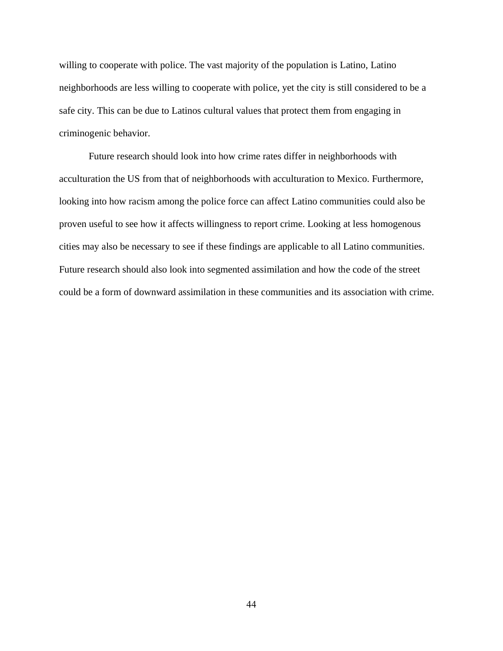willing to cooperate with police. The vast majority of the population is Latino, Latino neighborhoods are less willing to cooperate with police, yet the city is still considered to be a safe city. This can be due to Latinos cultural values that protect them from engaging in criminogenic behavior.

Future research should look into how crime rates differ in neighborhoods with acculturation the US from that of neighborhoods with acculturation to Mexico. Furthermore, looking into how racism among the police force can affect Latino communities could also be proven useful to see how it affects willingness to report crime. Looking at less homogenous cities may also be necessary to see if these findings are applicable to all Latino communities. Future research should also look into segmented assimilation and how the code of the street could be a form of downward assimilation in these communities and its association with crime.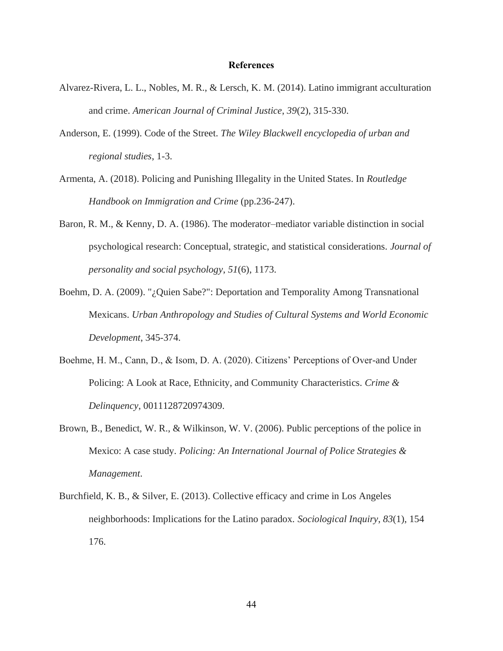#### **References**

- <span id="page-52-0"></span>Alvarez-Rivera, L. L., Nobles, M. R., & Lersch, K. M. (2014). Latino immigrant acculturation and crime. *American Journal of Criminal Justice*, *39*(2), 315-330.
- Anderson, E. (1999). Code of the Street. *The Wiley Blackwell encyclopedia of urban and regional studies*, 1-3.
- Armenta, A. (2018). Policing and Punishing Illegality in the United States. In *Routledge Handbook on Immigration and Crime* (pp.236-247).
- Baron, R. M., & Kenny, D. A. (1986). The moderator–mediator variable distinction in social psychological research: Conceptual, strategic, and statistical considerations. *Journal of personality and social psychology*, *51*(6), 1173.
- Boehm, D. A. (2009). "¿Quien Sabe?": Deportation and Temporality Among Transnational Mexicans. *Urban Anthropology and Studies of Cultural Systems and World Economic Development*, 345-374.
- Boehme, H. M., Cann, D., & Isom, D. A. (2020). Citizens' Perceptions of Over-and Under Policing: A Look at Race, Ethnicity, and Community Characteristics. *Crime & Delinquency*, 0011128720974309.
- Brown, B., Benedict, W. R., & Wilkinson, W. V. (2006). Public perceptions of the police in Mexico: A case study. *Policing: An International Journal of Police Strategies & Management*.
- Burchfield, K. B., & Silver, E. (2013). Collective efficacy and crime in Los Angeles neighborhoods: Implications for the Latino paradox. *Sociological Inquiry*, *83*(1), 154 176.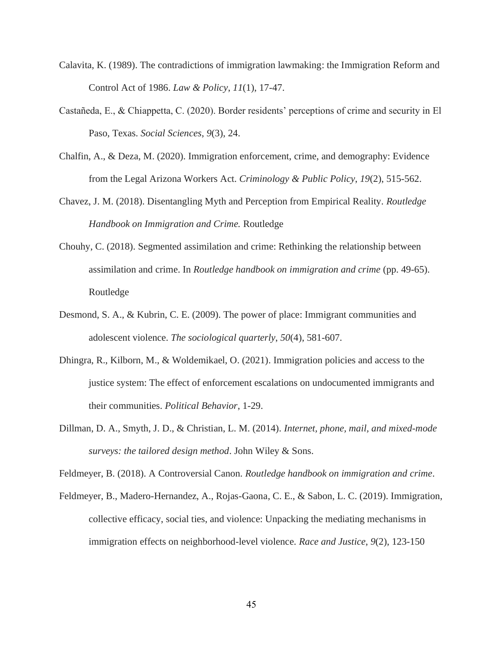- Calavita, K. (1989). The contradictions of immigration lawmaking: the Immigration Reform and Control Act of 1986. *Law & Policy*, *11*(1), 17-47.
- Castañeda, E., & Chiappetta, C. (2020). Border residents' perceptions of crime and security in El Paso, Texas. *Social Sciences*, *9*(3), 24.
- Chalfin, A., & Deza, M. (2020). Immigration enforcement, crime, and demography: Evidence from the Legal Arizona Workers Act. *Criminology & Public Policy*, *19*(2), 515-562.
- Chavez, J. M. (2018). Disentangling Myth and Perception from Empirical Reality. *Routledge Handbook on Immigration and Crime.* Routledge
- Chouhy, C. (2018). Segmented assimilation and crime: Rethinking the relationship between assimilation and crime. In *Routledge handbook on immigration and crime* (pp. 49-65). Routledge
- Desmond, S. A., & Kubrin, C. E. (2009). The power of place: Immigrant communities and adolescent violence. *The sociological quarterly*, *50*(4), 581-607.
- Dhingra, R., Kilborn, M., & Woldemikael, O. (2021). Immigration policies and access to the justice system: The effect of enforcement escalations on undocumented immigrants and their communities. *Political Behavior*, 1-29.
- Dillman, D. A., Smyth, J. D., & Christian, L. M. (2014). *Internet, phone, mail, and mixed-mode surveys: the tailored design method*. John Wiley & Sons.

Feldmeyer, B. (2018). A Controversial Canon. *Routledge handbook on immigration and crime*.

Feldmeyer, B., Madero-Hernandez, A., Rojas-Gaona, C. E., & Sabon, L. C. (2019). Immigration, collective efficacy, social ties, and violence: Unpacking the mediating mechanisms in immigration effects on neighborhood-level violence. *Race and Justice*, *9*(2), 123-150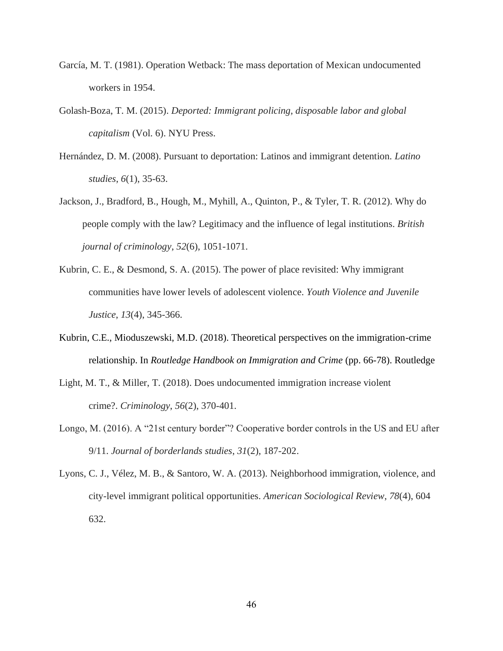- García, M. T. (1981). Operation Wetback: The mass deportation of Mexican undocumented workers in 1954.
- Golash-Boza, T. M. (2015). *Deported: Immigrant policing, disposable labor and global capitalism* (Vol. 6). NYU Press.
- Hernández, D. M. (2008). Pursuant to deportation: Latinos and immigrant detention. *Latino studies*, *6*(1), 35-63.
- Jackson, J., Bradford, B., Hough, M., Myhill, A., Quinton, P., & Tyler, T. R. (2012). Why do people comply with the law? Legitimacy and the influence of legal institutions. *British journal of criminology*, *52*(6), 1051-1071.
- Kubrin, C. E., & Desmond, S. A. (2015). The power of place revisited: Why immigrant communities have lower levels of adolescent violence. *Youth Violence and Juvenile Justice*, *13*(4), 345-366.
- Kubrin, C.E., Mioduszewski, M.D. (2018). Theoretical perspectives on the immigration-crime relationship. In *Routledge Handbook on Immigration and Crime* (pp. 66-78). Routledge
- Light, M. T., & Miller, T. (2018). Does undocumented immigration increase violent crime?. *Criminology*, *56*(2), 370-401.
- Longo, M. (2016). A "21st century border"? Cooperative border controls in the US and EU after 9/11. *Journal of borderlands studies*, *31*(2), 187-202.
- Lyons, C. J., Vélez, M. B., & Santoro, W. A. (2013). Neighborhood immigration, violence, and city-level immigrant political opportunities. *American Sociological Review*, *78*(4), 604 632.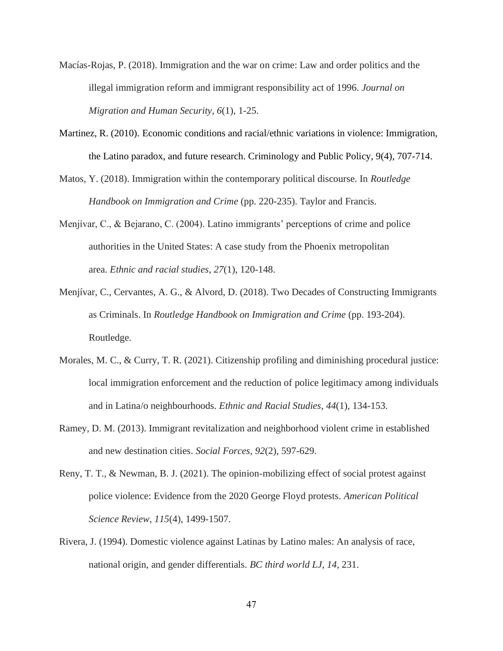- Macías-Rojas, P. (2018). Immigration and the war on crime: Law and order politics and the illegal immigration reform and immigrant responsibility act of 1996. *Journal on Migration and Human Security*, *6*(1), 1-25.
- Martinez, R. (2010). Economic conditions and racial/ethnic variations in violence: Immigration, the Latino paradox, and future research. Criminology and Public Policy, 9(4), 707-714.
- Matos, Y. (2018). Immigration within the contemporary political discourse. In *Routledge Handbook on Immigration and Crime* (pp. 220-235). Taylor and Francis.
- Menjívar, C., & Bejarano, C. (2004). Latino immigrants' perceptions of crime and police authorities in the United States: A case study from the Phoenix metropolitan area. *Ethnic and racial studies*, *27*(1), 120-148.
- Menjívar, C., Cervantes, A. G., & Alvord, D. (2018). Two Decades of Constructing Immigrants as Criminals. In *Routledge Handbook on Immigration and Crime* (pp. 193-204). Routledge.
- Morales, M. C., & Curry, T. R. (2021). Citizenship profiling and diminishing procedural justice: local immigration enforcement and the reduction of police legitimacy among individuals and in Latina/o neighbourhoods. *Ethnic and Racial Studies*, *44*(1), 134-153.
- Ramey, D. M. (2013). Immigrant revitalization and neighborhood violent crime in established and new destination cities. *Social Forces*, *92*(2), 597-629.
- Reny, T. T., & Newman, B. J. (2021). The opinion-mobilizing effect of social protest against police violence: Evidence from the 2020 George Floyd protests. *American Political Science Review*, *115*(4), 1499-1507.
- Rivera, J. (1994). Domestic violence against Latinas by Latino males: An analysis of race, national origin, and gender differentials. *BC third world LJ*, *14*, 231.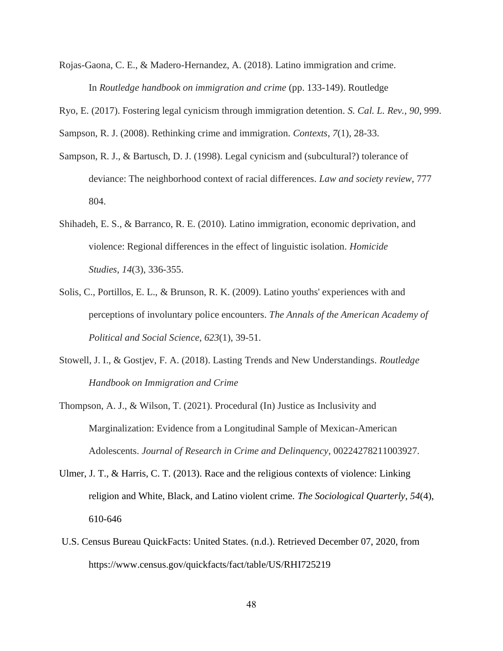Rojas-Gaona, C. E., & Madero-Hernandez, A. (2018). Latino immigration and crime. In *Routledge handbook on immigration and crime* (pp. 133-149). Routledge

Ryo, E. (2017). Fostering legal cynicism through immigration detention. *S. Cal. L. Rev.*, *90*, 999.

Sampson, R. J. (2008). Rethinking crime and immigration. *Contexts*, *7*(1), 28-33.

- Sampson, R. J., & Bartusch, D. J. (1998). Legal cynicism and (subcultural?) tolerance of deviance: The neighborhood context of racial differences. *Law and society review*, 777 804.
- Shihadeh, E. S., & Barranco, R. E. (2010). Latino immigration, economic deprivation, and violence: Regional differences in the effect of linguistic isolation. *Homicide Studies*, *14*(3), 336-355.
- Solis, C., Portillos, E. L., & Brunson, R. K. (2009). Latino youths' experiences with and perceptions of involuntary police encounters. *The Annals of the American Academy of Political and Social Science*, *623*(1), 39-51.
- Stowell, J. I., & Gostjev, F. A. (2018). Lasting Trends and New Understandings. *Routledge Handbook on Immigration and Crime*
- Thompson, A. J., & Wilson, T. (2021). Procedural (In) Justice as Inclusivity and Marginalization: Evidence from a Longitudinal Sample of Mexican-American Adolescents. *Journal of Research in Crime and Delinquency*, 00224278211003927.
- Ulmer, J. T., & Harris, C. T. (2013). Race and the religious contexts of violence: Linking religion and White, Black, and Latino violent crime. *The Sociological Quarterly*, *54*(4), 610-646
- U.S. Census Bureau QuickFacts: United States. (n.d.). Retrieved December 07, 2020, from https://www.census.gov/quickfacts/fact/table/US/RHI725219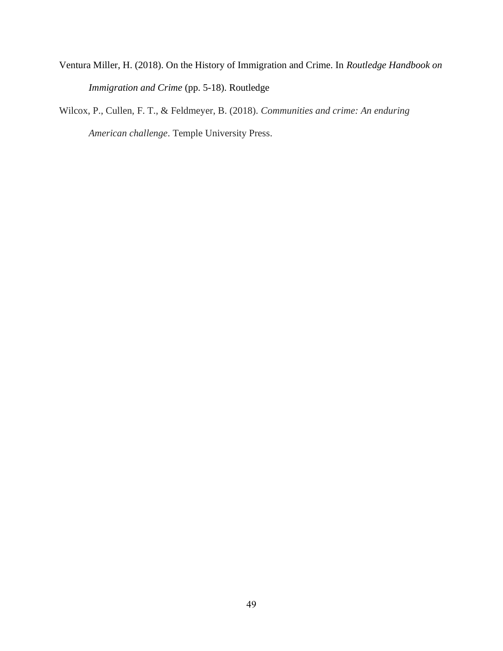Ventura Miller, H. (2018). On the History of Immigration and Crime. In *Routledge Handbook on Immigration and Crime* (pp. 5-18). Routledge

Wilcox, P., Cullen, F. T., & Feldmeyer, B. (2018). *Communities and crime: An enduring American challenge*. Temple University Press.